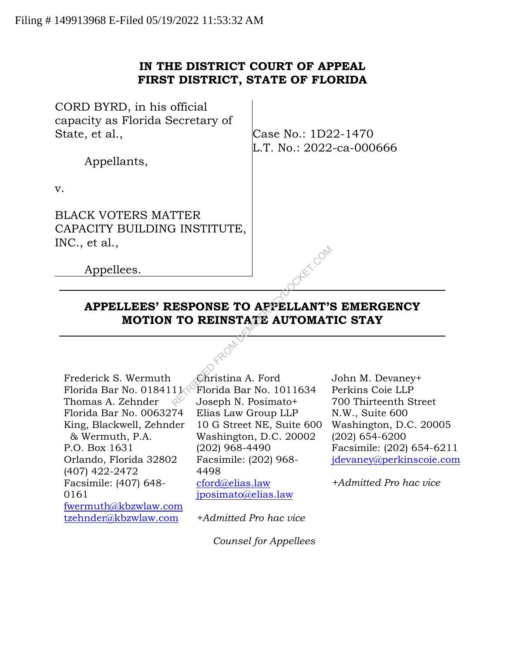## **IN THE DISTRICT COURT OF APPEAL FIRST DISTRICT, STATE OF FLORIDA**

| CORD BYRD, in his official<br>capacity as Florida Secretary of                                                     |                                                                               |
|--------------------------------------------------------------------------------------------------------------------|-------------------------------------------------------------------------------|
| State, et al.,                                                                                                     | Case No.: 1D22-1470<br>L.T. No.: 2022-ca-000666                               |
| Appellants,                                                                                                        |                                                                               |
| $V_{\cdot}$                                                                                                        |                                                                               |
| <b>BLACK VOTERS MATTER</b><br>CAPACITY BUILDING INSTITUTE,<br>INC., et al.,                                        |                                                                               |
| Appellees.                                                                                                         | EX COM                                                                        |
| APPELLEES' RESPONSE TO AFFELLANT'S EMERGEN<br><b>MOTION TO REINSTATE AUTOMATIC STAY</b>                            |                                                                               |
|                                                                                                                    |                                                                               |
| Frederick S. Wermuth<br>Christina A. Ford<br>Florida Bar No. $0184111$<br>Thomas A. Zehnder<br>Joseph N. Posimato+ | John M. Devan<br>Florida Bar No. 1011634<br>Perkins Coie LL<br>700 Thirteenth |

# **APPELLEES' RESPONSE TO APPELLANT'S EMERGENCY MOTION TO REINSTATE AUTOMATIC STAY**

Frederick S. Wermuth Florida Bar No. 0184111 $\mathbb{R}^2$ Thomas A. Zehnder Florida Bar No. 0063274 King, Blackwell, Zehnder & Wermuth, P.A. P.O. Box 1631 Orlando, Florida 32802 (407) 422-2472 Facsimile: (407) 648- 0161 fwermuth@kbzwlaw.com tzehnder@kbzwlaw.com

Christina A. Ford Florida Bar No. 1011634 Joseph N. Posimato+ Elias Law Group LLP 10 G Street NE, Suite 600 Washington, D.C. 20002 (202) 968-4490 Facsimile: (202) 968- 4498 cford@elias.law jposimato@elias.law

*+Admitted Pro hac vice*

*Counsel for Appellees*

John M. Devaney+ Perkins Coie LLP 700 Thirteenth Street N.W., Suite 600 Washington, D.C. 20005 (202) 654-6200 Facsimile: (202) 654-6211 jdevaney@perkinscoie.com

*+Admitted Pro hac vice*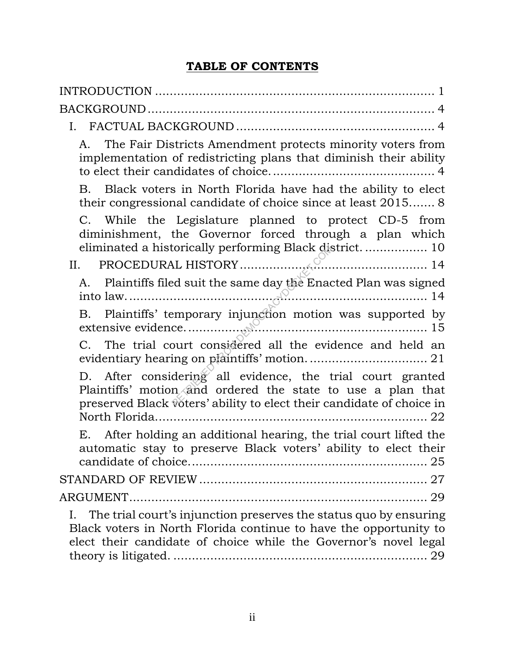## **TABLE OF CONTENTS**

| The Fair Districts Amendment protects minority voters from<br>A.<br>implementation of redistricting plans that diminish their ability                                                                            |
|------------------------------------------------------------------------------------------------------------------------------------------------------------------------------------------------------------------|
| Black voters in North Florida have had the ability to elect<br>B.<br>their congressional candidate of choice since at least 2015 8                                                                               |
| C. While the Legislature planned to protect CD-5 from<br>diminishment, the Governor forced through a plan which                                                                                                  |
| II. PROCEDURAL HISTORY $\overbrace{a}$                                                                                                                                                                           |
| Plaintiffs filed suit the same day the Enacted Plan was signed<br>А.                                                                                                                                             |
| Plaintiffs' temporary injunction motion was supported by<br>B.                                                                                                                                                   |
| C. The trial court considered all the evidence and held an                                                                                                                                                       |
| D. After considering all evidence, the trial court granted<br>Plaintiffs' motion and ordered the state to use a plan that<br>preserved Black voters' ability to elect their candidate of choice in               |
| E. After holding an additional hearing, the trial court lifted the<br>automatic stay to preserve Black voters' ability to elect their                                                                            |
|                                                                                                                                                                                                                  |
|                                                                                                                                                                                                                  |
| The trial court's injunction preserves the status quo by ensuring<br>Ι.<br>Black voters in North Florida continue to have the opportunity to<br>elect their candidate of choice while the Governor's novel legal |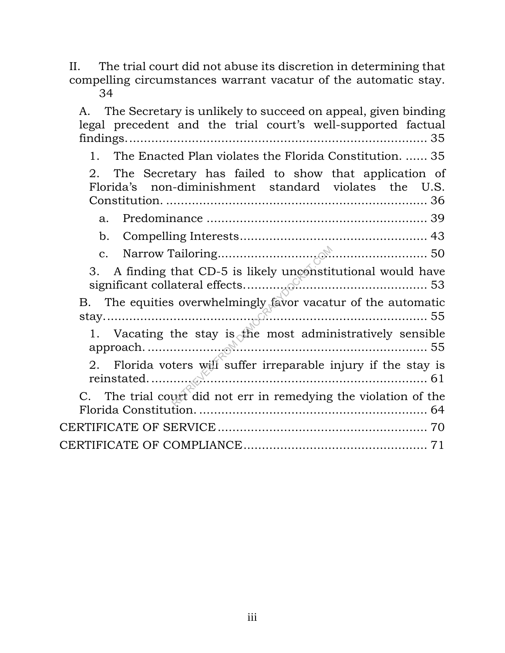II. The trial court did not abuse its discretion in determining that compelling circumstances warrant vacatur of the automatic stay. 34

A. The Secretary is unlikely to succeed on appeal, given binding legal precedent and the trial court's well-supported factual findings.................................................................................. 35 1. The Enacted Plan violates the Florida Constitution. ...... 35 2. The Secretary has failed to show that application of Florida's non-diminishment standard violates the U.S. Constitution. ....................................................................... 36 a. Predominance ............................................................ 39 b. Compelling Interests................................................... 43 c. Narrow Tailoring......................................................... 50 3. A finding that CD-5 is likely unconstitutional would have significant collateral effects.................................................. 53 B. The equities overwhelmingly favor vacatur of the automatic stay........................................................................................ 55 1. Vacating the stay is the most administratively sensible approach............................................................................. 55 2. Florida voters will suffer irreparable injury if the stay is reinstated............................................................................ 61 C. The trial court did not err in remedying the violation of the Florida Constitution. .............................................................. 64 CERTIFICATE OF SERVICE......................................................... 70 CERTIFICATE OF COMPLIANCE.................................................. 71 RETRIEVED FROM DEMOCRACYDOCKET.COM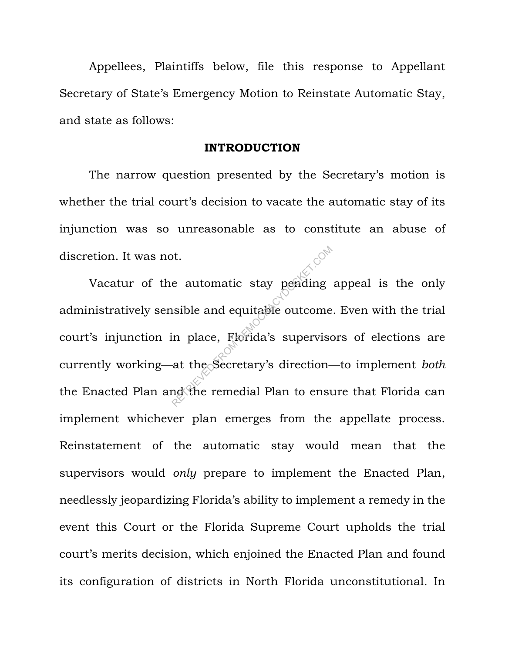Appellees, Plaintiffs below, file this response to Appellant Secretary of State's Emergency Motion to Reinstate Automatic Stay, and state as follows:

#### **INTRODUCTION**

The narrow question presented by the Secretary's motion is whether the trial court's decision to vacate the automatic stay of its injunction was so unreasonable as to constitute an abuse of discretion. It was not.

Vacatur of the automatic stay pending appeal is the only administratively sensible and equitable outcome. Even with the trial court's injunction in place, Florida's supervisors of elections are currently working—at the Secretary's direction—to implement *both* the Enacted Plan and the remedial Plan to ensure that Florida can implement whichever plan emerges from the appellate process. Reinstatement of the automatic stay would mean that the supervisors would *only* prepare to implement the Enacted Plan, needlessly jeopardizing Florida's ability to implement a remedy in the event this Court or the Florida Supreme Court upholds the trial court's merits decision, which enjoined the Enacted Plan and found its configuration of districts in North Florida unconstitutional. In e automatic stay pending<br>
usible and equitable outcome<br>
in place, Florida's supervise<br>
at the Secretary's direction-<br>
at the Secretary's direction-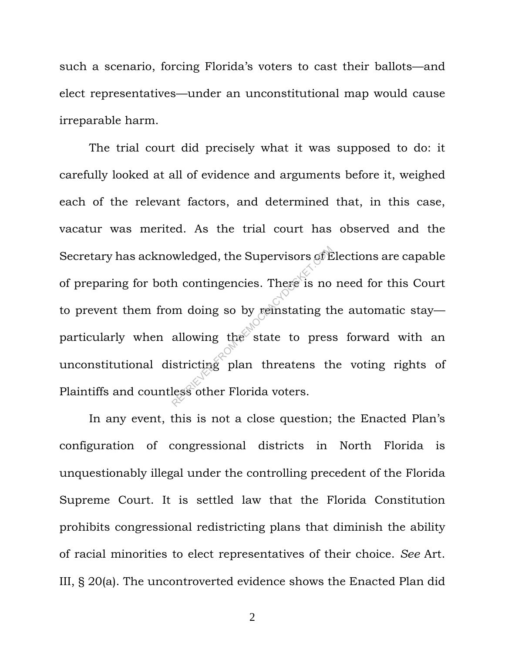such a scenario, forcing Florida's voters to cast their ballots—and elect representatives—under an unconstitutional map would cause irreparable harm.

The trial court did precisely what it was supposed to do: it carefully looked at all of evidence and arguments before it, weighed each of the relevant factors, and determined that, in this case, vacatur was merited. As the trial court has observed and the Secretary has acknowledged, the Supervisors of Elections are capable of preparing for both contingencies. There is no need for this Court to prevent them from doing so by reinstating the automatic stay particularly when allowing the state to press forward with an unconstitutional districting plan threatens the voting rights of Plaintiffs and countless other Florida voters. wledged, the Supervisors of E<br>h contingencies. There is no<br>m doing so by reinstating the<br>allowing the state to pres<br>stricting plan threatens the<br>less other Florida voters.

In any event, this is not a close question; the Enacted Plan's configuration of congressional districts in North Florida is unquestionably illegal under the controlling precedent of the Florida Supreme Court. It is settled law that the Florida Constitution prohibits congressional redistricting plans that diminish the ability of racial minorities to elect representatives of their choice. *See* Art. III, § 20(a). The uncontroverted evidence shows the Enacted Plan did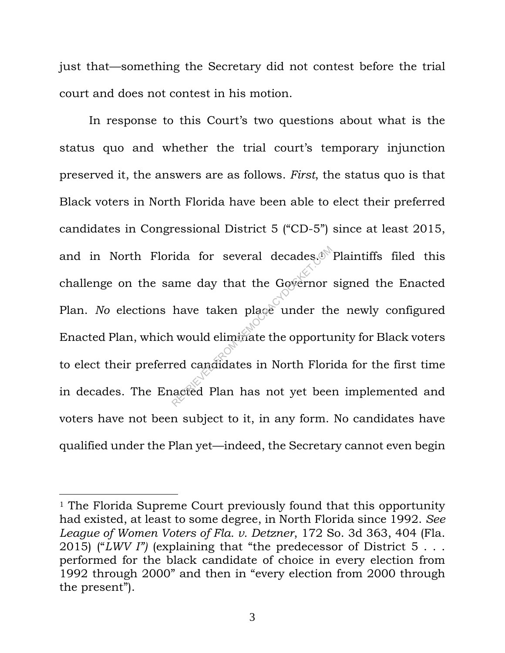just that—something the Secretary did not contest before the trial court and does not contest in his motion.

In response to this Court's two questions about what is the status quo and whether the trial court's temporary injunction preserved it, the answers are as follows. *First*, the status quo is that Black voters in North Florida have been able to elect their preferred candidates in Congressional District 5 ("CD-5") since at least 2015, and in North Florida for several decades.<sup>1</sup> Plaintiffs filed this challenge on the same day that the Governor signed the Enacted Plan. *No* elections have taken place under the newly configured Enacted Plan, which would eliminate the opportunity for Black voters to elect their preferred candidates in North Florida for the first time in decades. The Enacted Plan has not yet been implemented and voters have not been subject to it, in any form. No candidates have qualified under the Plan yet—indeed, the Secretary cannot even begin rida for several decades.<sup>6</sup><br>
ume day that the Governor<br>
have taken place under the<br>
u would eliminate the opportured candidates in North Flori<br>
red candidates in North Flori<br>
red Candidates in North Flori<br>
red Candidates

<sup>&</sup>lt;sup>1</sup> The Florida Supreme Court previously found that this opportunity had existed, at least to some degree, in North Florida since 1992. *See League of Women Voters of Fla. v. Detzner*, 172 So. 3d 363, 404 (Fla. 2015) ("*LWV I")* (explaining that "the predecessor of District 5 . . . performed for the black candidate of choice in every election from 1992 through 2000" and then in "every election from 2000 through the present").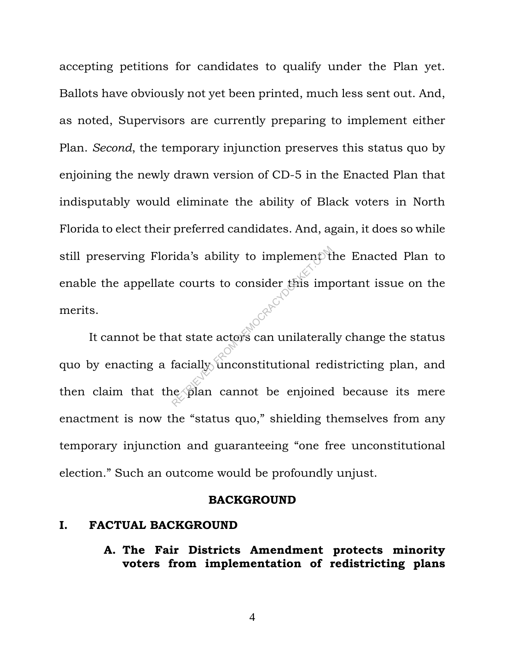accepting petitions for candidates to qualify under the Plan yet. Ballots have obviously not yet been printed, much less sent out. And, as noted, Supervisors are currently preparing to implement either Plan. *Second*, the temporary injunction preserves this status quo by enjoining the newly drawn version of CD-5 in the Enacted Plan that indisputably would eliminate the ability of Black voters in North Florida to elect their preferred candidates. And, again, it does so while still preserving Florida's ability to implement the Enacted Plan to enable the appellate courts to consider this important issue on the merits.

It cannot be that state actors can unilaterally change the status quo by enacting a facially unconstitutional redistricting plan, and then claim that the plan cannot be enjoined because its mere enactment is now the "status quo," shielding themselves from any temporary injunction and guaranteeing "one free unconstitutional election." Such an outcome would be profoundly unjust. rida's ability to implement the courts to consider this imperior in the consider of the imperior of the state actors can unilateral facially unconstitutional reduce than cannot be enjoined

#### **BACKGROUND**

#### **I. FACTUAL BACKGROUND**

**A. The Fair Districts Amendment protects minority voters from implementation of redistricting plans**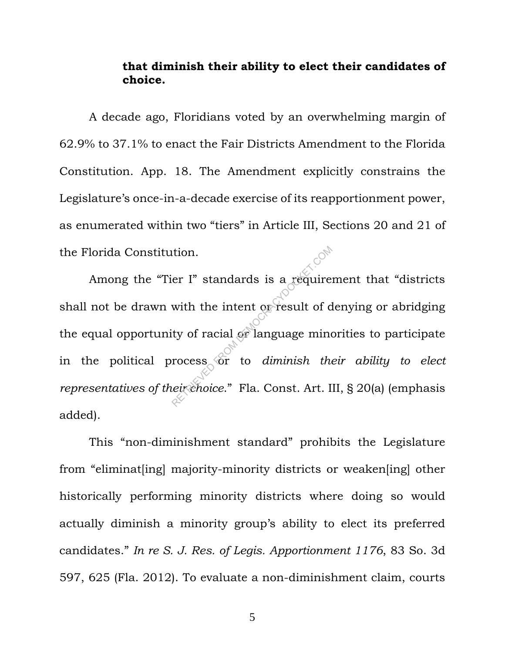### **that diminish their ability to elect their candidates of choice.**

A decade ago, Floridians voted by an overwhelming margin of 62.9% to 37.1% to enact the Fair Districts Amendment to the Florida Constitution. App. 18. The Amendment explicitly constrains the Legislature's once-in-a-decade exercise of its reapportionment power, as enumerated within two "tiers" in Article III, Sections 20 and 21 of the Florida Constitution.

Among the "Tier I" standards is a requirement that "districts shall not be drawn with the intent or result of denying or abridging the equal opportunity of racial or language minorities to participate in the political process or to *diminish their ability to elect representatives of their choice*." Fla. Const. Art. III, § 20(a) (emphasis added). er I" standards is a require with the intent of result of d<br>ty of racial or language mind<br>rocess or to *diminish the*<br>eirchoice." Fla. Const. Art. I

This "non-diminishment standard" prohibits the Legislature from "eliminat[ing] majority-minority districts or weaken[ing] other historically performing minority districts where doing so would actually diminish a minority group's ability to elect its preferred candidates." *In re S. J. Res. of Legis. Apportionment 1176*, 83 So. 3d 597, 625 (Fla. 2012). To evaluate a non-diminishment claim, courts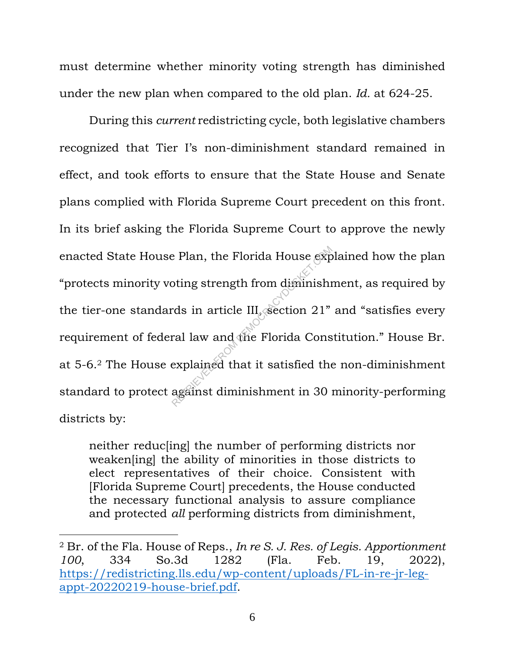must determine whether minority voting strength has diminished under the new plan when compared to the old plan. *Id.* at 624-25.

During this *current* redistricting cycle, both legislative chambers recognized that Tier I's non-diminishment standard remained in effect, and took efforts to ensure that the State House and Senate plans complied with Florida Supreme Court precedent on this front. In its brief asking the Florida Supreme Court to approve the newly enacted State House Plan, the Florida House explained how the plan "protects minority voting strength from diminishment, as required by the tier-one standards in article III, section 21" and "satisfies every requirement of federal law and the Florida Constitution." House Br. at 5-6.<sup>2</sup> The House explained that it satisfied the non-diminishment standard to protect against diminishment in 30 minority-performing districts by: Plan, the Florida House exporting strength from diminishies<br>
rds in article III. Section 21"<br>
ral law and the Florida Cons<br>
explained that it satisfied the<br>
against diminishment in 30

neither reduc[ing] the number of performing districts nor weaken[ing] the ability of minorities in those districts to elect representatives of their choice. Consistent with [Florida Supreme Court] precedents, the House conducted the necessary functional analysis to assure compliance and protected *all* performing districts from diminishment,

<sup>2</sup> Br. of the Fla. House of Reps., *In re S. J. Res. of Legis. Apportionment 100*, 334 So.3d 1282 (Fla. Feb. 19, 2022), https://redistricting.lls.edu/wp-content/uploads/FL-in-re-jr-legappt-20220219-house-brief.pdf.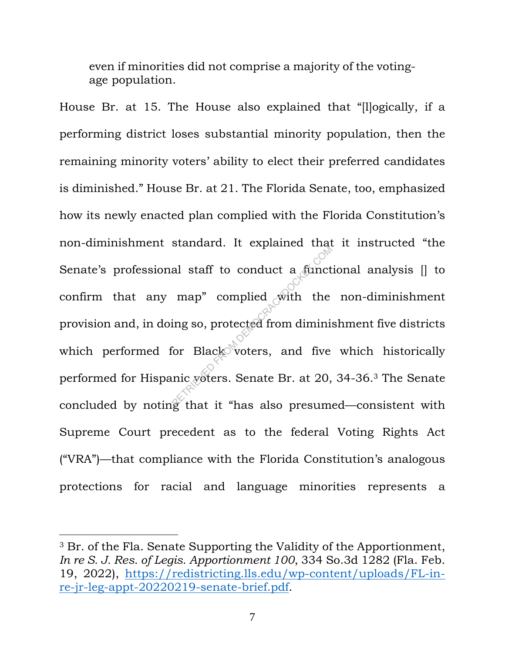even if minorities did not comprise a majority of the votingage population.

House Br. at 15. The House also explained that "[l]ogically, if a performing district loses substantial minority population, then the remaining minority voters' ability to elect their preferred candidates is diminished." House Br. at 21. The Florida Senate, too, emphasized how its newly enacted plan complied with the Florida Constitution's non-diminishment standard. It explained that it instructed "the Senate's professional staff to conduct a functional analysis [] to confirm that any map" complied with the non-diminishment provision and, in doing so, protected from diminishment five districts which performed for Black voters, and five which historically performed for Hispanic voters. Senate Br. at 20, 34-36.<sup>3</sup> The Senate concluded by noting that it "has also presumed—consistent with Supreme Court precedent as to the federal Voting Rights Act ("VRA")—that compliance with the Florida Constitution's analogous protections for racial and language minorities represents a al staff to conduct a funct<br>map" complied with the<br>ing so, protected from diminis<br>for Black voters, and five<br>mic voters. Senate Br. at 20,

<sup>3</sup> Br. of the Fla. Senate Supporting the Validity of the Apportionment, *In re S. J. Res. of Legis. Apportionment 100*, 334 So.3d 1282 (Fla. Feb. 19, 2022), https://redistricting.lls.edu/wp-content/uploads/FL-inre-jr-leg-appt-20220219-senate-brief.pdf.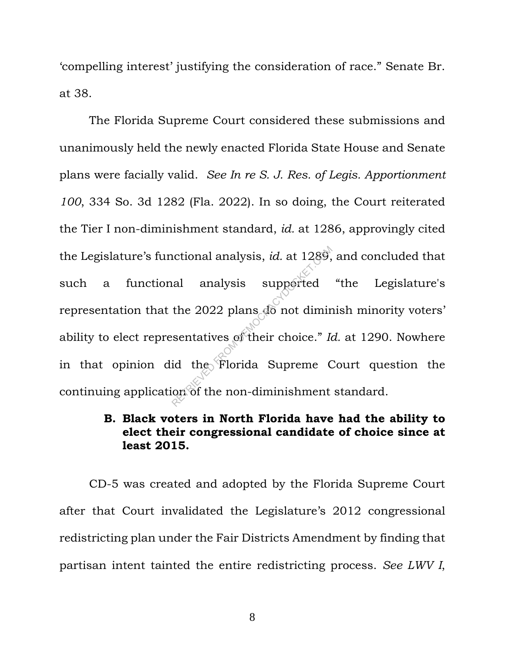'compelling interest' justifying the consideration of race." Senate Br. at 38.

The Florida Supreme Court considered these submissions and unanimously held the newly enacted Florida State House and Senate plans were facially valid. *See In re S. J. Res. of Legis. Apportionment 100*, 334 So. 3d 1282 (Fla. 2022). In so doing, the Court reiterated the Tier I non-diminishment standard, *id.* at 1286, approvingly cited the Legislature's functional analysis, *id.* at 1289, and concluded that such a functional analysis supported "the Legislature's representation that the 2022 plans do not diminish minority voters' ability to elect representatives of their choice." *Id.* at 1290. Nowhere in that opinion did the Florida Supreme Court question the continuing application of the non-diminishment standard. netional analysis, *id.* at 1289,<br>al analysis supported<br>the 2022 plans do not dimin<br>sentatives of their choice." In<br>id the Florida Supreme Com of the non-diminishment

## **B. Black voters in North Florida have had the ability to elect their congressional candidate of choice since at least 2015.**

CD-5 was created and adopted by the Florida Supreme Court after that Court invalidated the Legislature's 2012 congressional redistricting plan under the Fair Districts Amendment by finding that partisan intent tainted the entire redistricting process. *See LWV I*,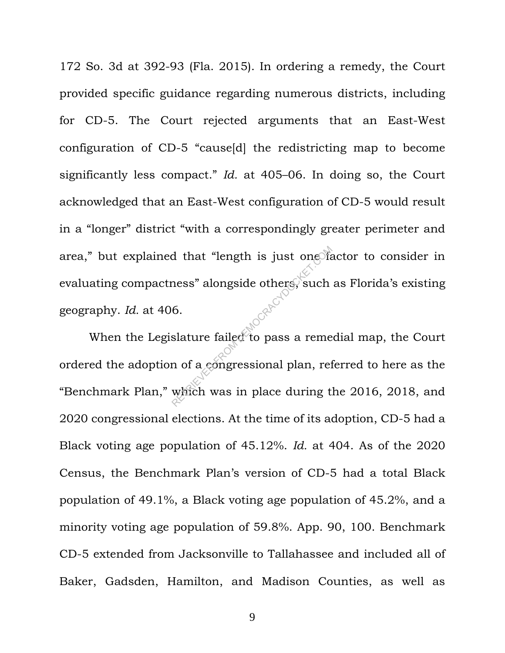172 So. 3d at 392-93 (Fla. 2015). In ordering a remedy, the Court provided specific guidance regarding numerous districts, including for CD-5. The Court rejected arguments that an East-West configuration of CD-5 "cause[d] the redistricting map to become significantly less compact." *Id.* at 405–06. In doing so, the Court acknowledged that an East-West configuration of CD-5 would result in a "longer" district "with a correspondingly greater perimeter and area," but explained that "length is just one factor to consider in evaluating compactness" alongside others, such as Florida's existing geography. *Id.* at 406.

When the Legislature failed to pass a remedial map, the Court ordered the adoption of a congressional plan, referred to here as the "Benchmark Plan," which was in place during the 2016, 2018, and 2020 congressional elections. At the time of its adoption, CD-5 had a Black voting age population of 45.12%. *Id.* at 404. As of the 2020 Census, the Benchmark Plan's version of CD-5 had a total Black population of 49.1%, a Black voting age population of 45.2%, and a minority voting age population of 59.8%. App. 90, 100. Benchmark CD-5 extended from Jacksonville to Tallahassee and included all of Baker, Gadsden, Hamilton, and Madison Counties, as well as Retaining that "length is just one of the space of the space of the space of the space of the space of the space of the space of the space of the space of the space of the space of the space of the space of the space of th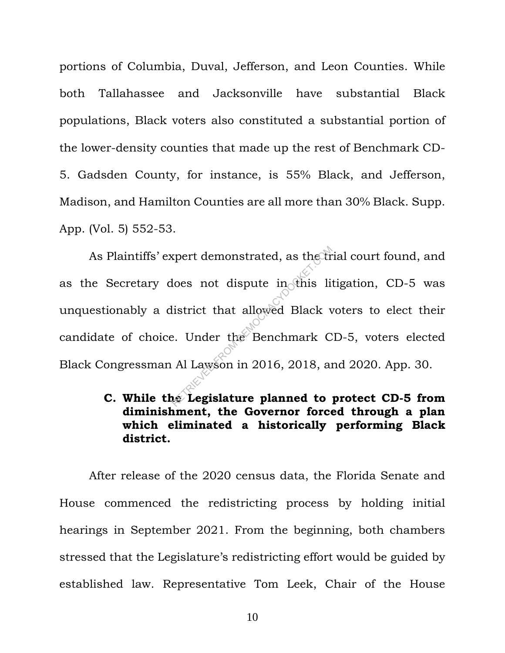portions of Columbia, Duval, Jefferson, and Leon Counties. While both Tallahassee and Jacksonville have substantial Black populations, Black voters also constituted a substantial portion of the lower-density counties that made up the rest of Benchmark CD-5. Gadsden County, for instance, is 55% Black, and Jefferson, Madison, and Hamilton Counties are all more than 30% Black. Supp. App. (Vol. 5) 552-53.

As Plaintiffs' expert demonstrated, as the trial court found, and as the Secretary does not dispute in this litigation, CD-5 was unquestionably a district that allowed Black voters to elect their candidate of choice. Under the Benchmark CD-5, voters elected Black Congressman Al Lawson in 2016, 2018, and 2020. App. 30. Expert demonstrated, as the transported in the listrict that allowed Black v<br>listrict that allowed Black v<br>e. Under the Benchmark C<br>Al Lawson in 2016, 2018, an<br>e. Legislature planned to

## **C. While the Legislature planned to protect CD-5 from diminishment, the Governor forced through a plan which eliminated a historically performing Black district.**

After release of the 2020 census data, the Florida Senate and House commenced the redistricting process by holding initial hearings in September 2021. From the beginning, both chambers stressed that the Legislature's redistricting effort would be guided by established law. Representative Tom Leek, Chair of the House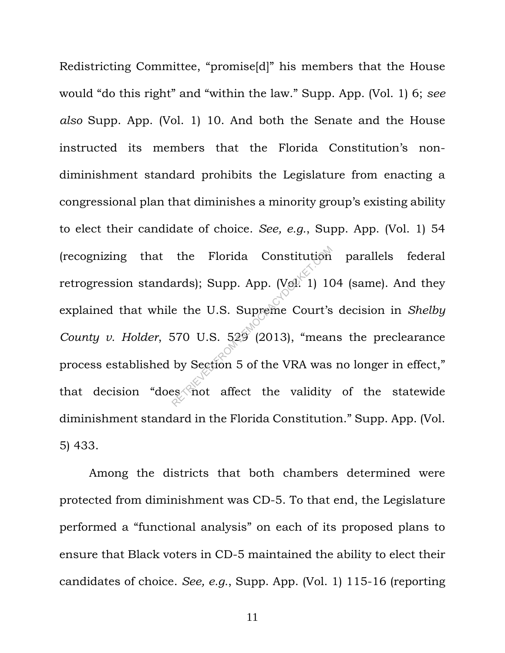Redistricting Committee, "promise[d]" his members that the House would "do this right" and "within the law." Supp. App. (Vol. 1) 6; *see also* Supp. App. (Vol. 1) 10. And both the Senate and the House instructed its members that the Florida Constitution's nondiminishment standard prohibits the Legislature from enacting a congressional plan that diminishes a minority group's existing ability to elect their candidate of choice. *See, e.g.*, Supp. App. (Vol. 1) 54 (recognizing that the Florida Constitution parallels federal retrogression standards); Supp. App.  $(Ve^{V})$  104 (same). And they explained that while the U.S. Supreme Court's decision in *Shelby County v. Holder*, 570 U.S. 529 (2013), "means the preclearance process established by Section 5 of the VRA was no longer in effect," that decision "does not affect the validity of the statewide diminishment standard in the Florida Constitution." Supp. App. (Vol. 5) 433. the Florida Constitution<br>ards); Supp. App. (Vel. 1) 10<br>e the U.S. Supreme Court's<br>570 U.S. 529 (2013), "mear<br>by Section 5 of the VRA was<br>es not affect the validity

Among the districts that both chambers determined were protected from diminishment was CD-5. To that end, the Legislature performed a "functional analysis" on each of its proposed plans to ensure that Black voters in CD-5 maintained the ability to elect their candidates of choice. *See, e.g.*, Supp. App. (Vol. 1) 115-16 (reporting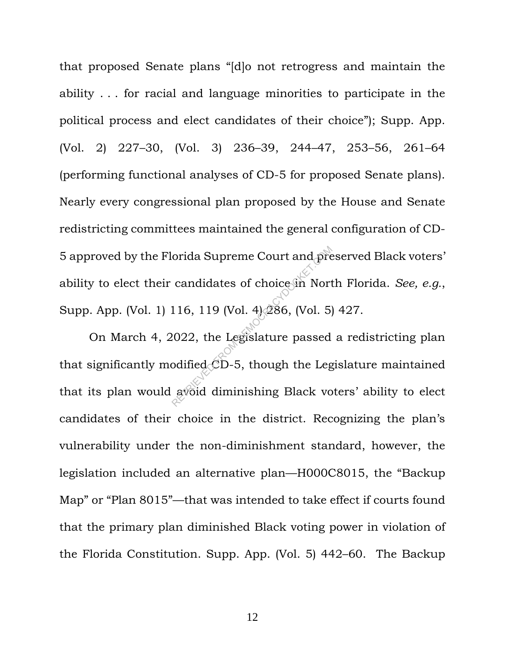that proposed Senate plans "[d]o not retrogress and maintain the ability . . . for racial and language minorities to participate in the political process and elect candidates of their choice"); Supp. App. (Vol. 2) 227–30, (Vol. 3) 236–39, 244–47, 253–56, 261–64 (performing functional analyses of CD-5 for proposed Senate plans). Nearly every congressional plan proposed by the House and Senate redistricting committees maintained the general configuration of CD-5 approved by the Florida Supreme Court and preserved Black voters' ability to elect their candidates of choice in North Florida. *See, e.g.*, Supp. App. (Vol. 1) 116, 119 (Vol. 4) 286, (Vol. 5) 427.

On March 4, 2022, the Legislature passed a redistricting plan that significantly modified CD-5, though the Legislature maintained that its plan would avoid diminishing Black voters' ability to elect candidates of their choice in the district. Recognizing the plan's vulnerability under the non-diminishment standard, however, the legislation included an alternative plan—H000C8015, the "Backup Map" or "Plan 8015"—that was intended to take effect if courts found that the primary plan diminished Black voting power in violation of the Florida Constitution. Supp. App. (Vol. 5) 442–60. The Backup orida Supreme Court and pre<br>candidates of choice in Nort<br>116, 119 (Vol. 4) 286, (Vol. 5)<br>2022, the Legislature passed<br>odified CD-5, though the Leg<br>avoid diminishing Black vo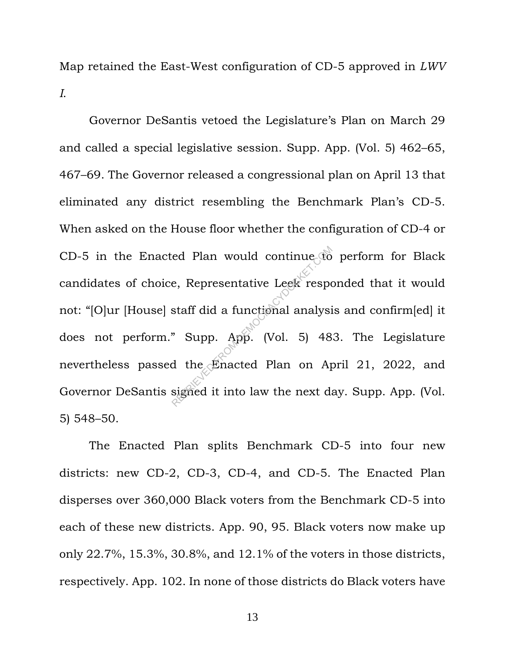Map retained the East-West configuration of CD-5 approved in *LWV I*.

Governor DeSantis vetoed the Legislature's Plan on March 29 and called a special legislative session. Supp. App. (Vol. 5) 462–65, 467–69. The Governor released a congressional plan on April 13 that eliminated any district resembling the Benchmark Plan's CD-5. When asked on the House floor whether the configuration of CD-4 or CD-5 in the Enacted Plan would continue to perform for Black candidates of choice, Representative Leek responded that it would not: "[O]ur [House] staff did a functional analysis and confirm[ed] it does not perform." Supp. App. (Vol. 5) 483. The Legislature nevertheless passed the Enacted Plan on April 21, 2022, and Governor DeSantis signed it into law the next day. Supp. App. (Vol. 5) 548–50. red Plan would continue to<br>
e, Representative Leek responsant<br>
staff did a functional analysi<br>
"Supp. App. (Vol. 5) 48<br>
d the Enacted Plan on Apsigned it into law the next da

The Enacted Plan splits Benchmark CD-5 into four new districts: new CD-2, CD-3, CD-4, and CD-5. The Enacted Plan disperses over 360,000 Black voters from the Benchmark CD-5 into each of these new districts. App. 90, 95. Black voters now make up only 22.7%, 15.3%, 30.8%, and 12.1% of the voters in those districts, respectively. App. 102. In none of those districts do Black voters have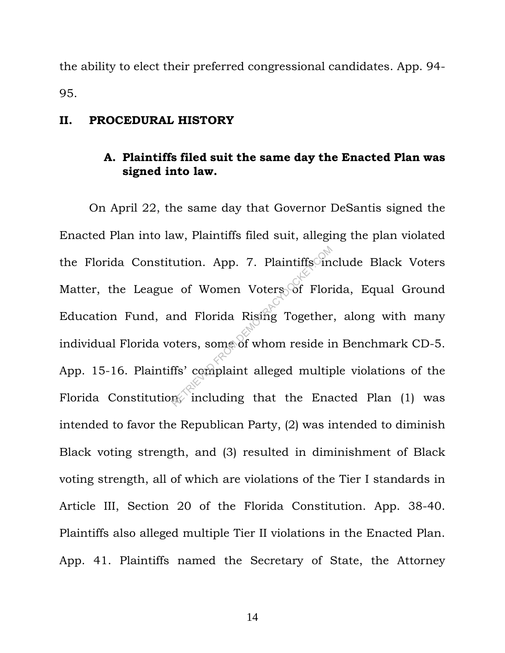the ability to elect their preferred congressional candidates. App. 94- 95.

#### **II. PROCEDURAL HISTORY**

### **A. Plaintiffs filed suit the same day the Enacted Plan was signed into law.**

On April 22, the same day that Governor DeSantis signed the Enacted Plan into law, Plaintiffs filed suit, alleging the plan violated the Florida Constitution. App. 7. Plaintiffs include Black Voters Matter, the League of Women Voters of Florida, Equal Ground Education Fund, and Florida Rising Together, along with many individual Florida voters, some of whom reside in Benchmark CD-5. App. 15-16. Plaintiffs' complaint alleged multiple violations of the Florida Constitution, including that the Enacted Plan  $(1)$  was intended to favor the Republican Party, (2) was intended to diminish Black voting strength, and (3) resulted in diminishment of Black voting strength, all of which are violations of the Tier I standards in Article III, Section 20 of the Florida Constitution. App. 38-40. Plaintiffs also alleged multiple Tier II violations in the Enacted Plan. App. 41. Plaintiffs named the Secretary of State, the Attorney Nation. App. 7. Plaintiffs<sup>on</sup><br>
e of Women Voters of Flor<br>
and Florida Risting Together<br>
beters, some of whom reside is<br>
ffs' complaint alleged multip<br>
micluding that the Ena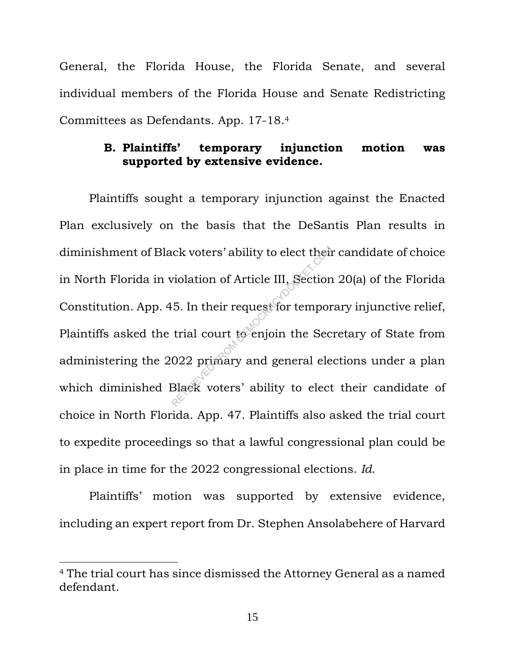General, the Florida House, the Florida Senate, and several individual members of the Florida House and Senate Redistricting Committees as Defendants. App. 17-18. 4

#### **B. Plaintiffs' temporary injunction motion was supported by extensive evidence.**

Plaintiffs sought a temporary injunction against the Enacted Plan exclusively on the basis that the DeSantis Plan results in diminishment of Black voters' ability to elect their candidate of choice in North Florida in violation of Article III, Section 20(a) of the Florida Constitution. App. 45. In their request for temporary injunctive relief, Plaintiffs asked the trial court to enjoin the Secretary of State from administering the 2022 primary and general elections under a plan which diminished Black voters' ability to elect their candidate of choice in North Florida. App. 47. Plaintiffs also asked the trial court to expedite proceedings so that a lawful congressional plan could be in place in time for the 2022 congressional elections. *Id*. RETRIEU CONTROLLING CONTROLLING CONTROLLING SECTION<br>
5. In their request for tempor<br>
trial court to enjoin the Sec<br>
022 primary and general ele<br>
31aek voters' ability to elect

Plaintiffs' motion was supported by extensive evidence, including an expert report from Dr. Stephen Ansolabehere of Harvard

<sup>4</sup> The trial court has since dismissed the Attorney General as a named defendant.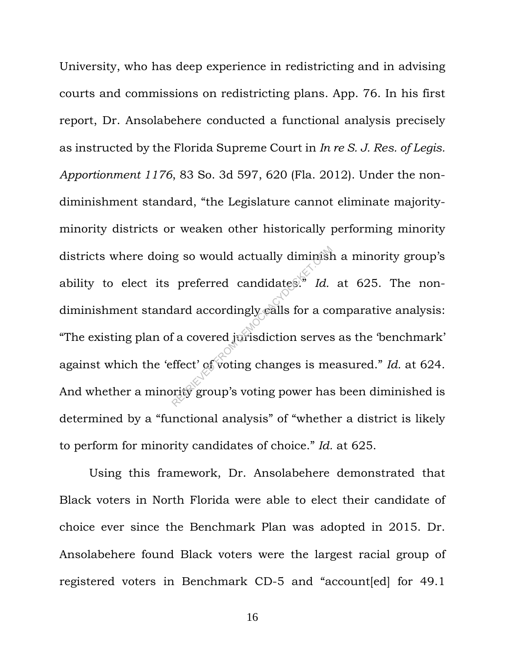University, who has deep experience in redistricting and in advising courts and commissions on redistricting plans. App. 76. In his first report, Dr. Ansolabehere conducted a functional analysis precisely as instructed by the Florida Supreme Court in *In re S. J. Res. of Legis. Apportionment 1176*, 83 So. 3d 597, 620 (Fla. 2012). Under the nondiminishment standard, "the Legislature cannot eliminate majorityminority districts or weaken other historically performing minority districts where doing so would actually diminish a minority group's ability to elect its preferred candidates.<sup>5</sup> Id. at 625. The nondiminishment standard accordingly calls for a comparative analysis: "The existing plan of a covered jurisdiction serves as the 'benchmark' against which the 'effect' of voting changes is measured." *Id.* at 624. And whether a minority group's voting power has been diminished is determined by a "functional analysis" of "whether a district is likely to perform for minority candidates of choice." *Id.* at 625. g so would actually diminish<br>preferred candidates." Id.<br>lard accordingly ealls for a co<br>f a covered jorisdiction serves<br>ffect' of voting changes is me<br>prity group's voting power has

Using this framework, Dr. Ansolabehere demonstrated that Black voters in North Florida were able to elect their candidate of choice ever since the Benchmark Plan was adopted in 2015. Dr. Ansolabehere found Black voters were the largest racial group of registered voters in Benchmark CD-5 and "account[ed] for 49.1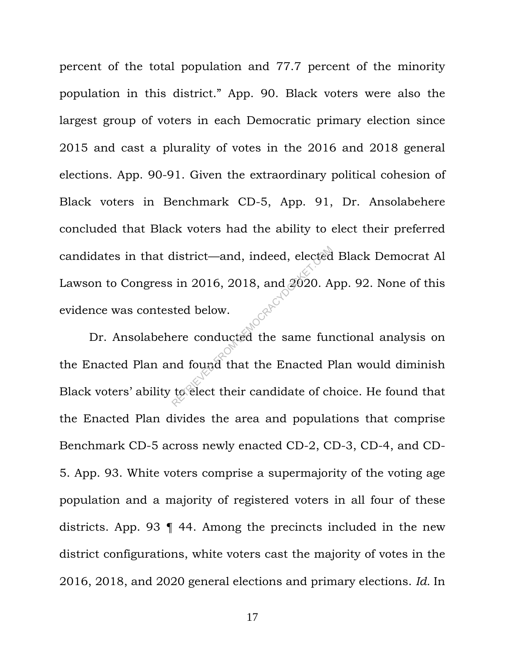percent of the total population and 77.7 percent of the minority population in this district." App. 90. Black voters were also the largest group of voters in each Democratic primary election since 2015 and cast a plurality of votes in the 2016 and 2018 general elections. App. 90-91. Given the extraordinary political cohesion of Black voters in Benchmark CD-5, App. 91, Dr. Ansolabehere concluded that Black voters had the ability to elect their preferred candidates in that district—and, indeed, elected Black Democrat Al Lawson to Congress in 2016, 2018, and 2020. App. 92. None of this evidence was contested below.

Dr. Ansolabehere conducted the same functional analysis on the Enacted Plan and found that the Enacted Plan would diminish Black voters' ability to elect their candidate of choice. He found that the Enacted Plan divides the area and populations that comprise Benchmark CD-5 across newly enacted CD-2, CD-3, CD-4, and CD-5. App. 93. White voters comprise a supermajority of the voting age population and a majority of registered voters in all four of these districts. App. 93 ¶ 44. Among the precincts included in the new district configurations, white voters cast the majority of votes in the 2016, 2018, and 2020 general elections and primary elections. *Id.* In district—and, indeed, elected<br>in 2016, 2018, and 2020. A<br>sted below.<br>ere conducted the same fur<br>nd found that the Enacted F<br>to elect their candidate of ch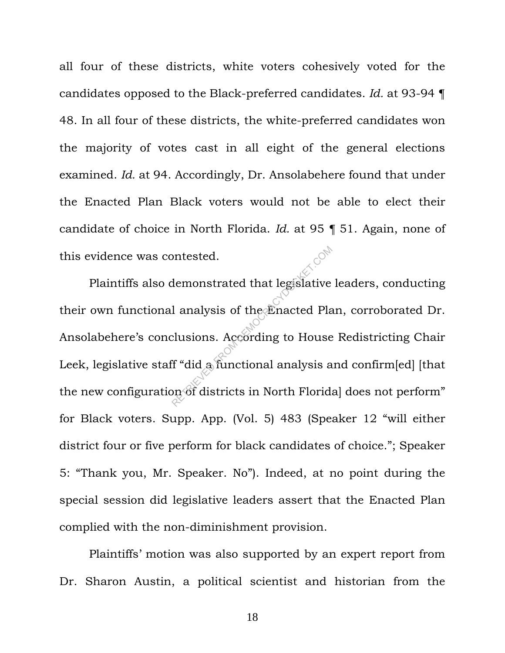all four of these districts, white voters cohesively voted for the candidates opposed to the Black-preferred candidates. *Id.* at 93-94 ¶ 48. In all four of these districts, the white-preferred candidates won the majority of votes cast in all eight of the general elections examined. *Id.* at 94. Accordingly, Dr. Ansolabehere found that under the Enacted Plan Black voters would not be able to elect their candidate of choice in North Florida. *Id.* at 95 ¶ 51. Again, none of this evidence was contested.

Plaintiffs also demonstrated that legislative leaders, conducting their own functional analysis of the Enacted Plan, corroborated Dr. Ansolabehere's conclusions. According to House Redistricting Chair Leek, legislative staff "did a functional analysis and confirm[ed] [that the new configuration of districts in North Floridal does not perform" for Black voters. Supp. App. (Vol. 5) 483 (Speaker 12 "will either district four or five perform for black candidates of choice."; Speaker 5: "Thank you, Mr. Speaker. No"). Indeed, at no point during the special session did legislative leaders assert that the Enacted Plan complied with the non-diminishment provision. Products and that legislative<br>
Retracted Plancted Plancts<br>
Retracted Plancts<br>
Recording to House<br>
Retractional analysis as<br>
Reflanctional analysis as

Plaintiffs' motion was also supported by an expert report from Dr. Sharon Austin, a political scientist and historian from the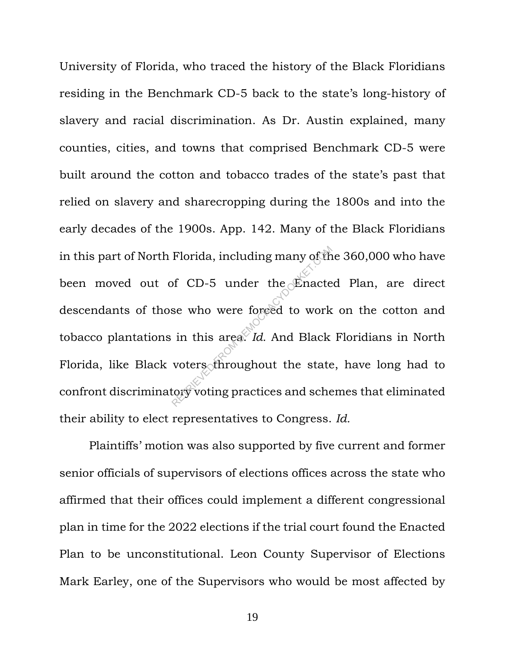University of Florida, who traced the history of the Black Floridians residing in the Benchmark CD-5 back to the state's long-history of slavery and racial discrimination. As Dr. Austin explained, many counties, cities, and towns that comprised Benchmark CD-5 were built around the cotton and tobacco trades of the state's past that relied on slavery and sharecropping during the 1800s and into the early decades of the 1900s. App. 142. Many of the Black Floridians in this part of North Florida, including many of the 360,000 who have been moved out of CD-5 under the Enacted Plan, are direct descendants of those who were forced to work on the cotton and tobacco plantations in this area. *Id.* And Black Floridians in North Florida, like Black voters throughout the state, have long had to confront discriminatory voting practices and schemes that eliminated their ability to elect representatives to Congress. *Id.* Florida, including many of the<br>of CD-5 under the Enacte<br>se who were forced to work<br>in this area. Id. And Black<br>voters throughout the state<br>tory voting practices and sche

Plaintiffs' motion was also supported by five current and former senior officials of supervisors of elections offices across the state who affirmed that their offices could implement a different congressional plan in time for the 2022 elections if the trial court found the Enacted Plan to be unconstitutional. Leon County Supervisor of Elections Mark Earley, one of the Supervisors who would be most affected by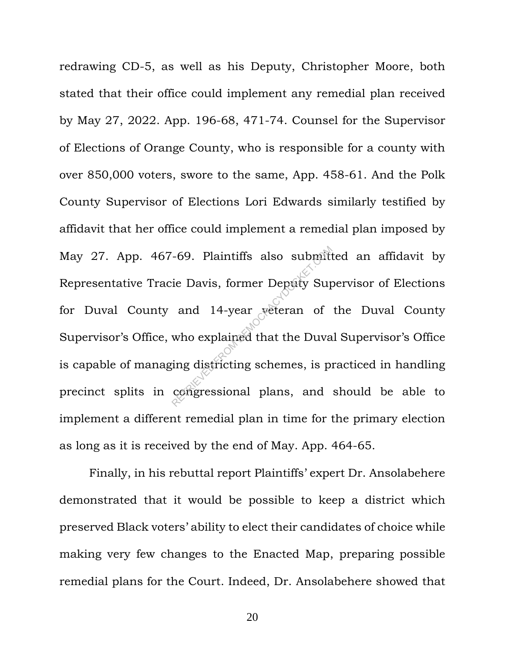redrawing CD-5, as well as his Deputy, Christopher Moore, both stated that their office could implement any remedial plan received by May 27, 2022. App. 196-68, 471-74. Counsel for the Supervisor of Elections of Orange County, who is responsible for a county with over 850,000 voters, swore to the same, App. 458-61. And the Polk County Supervisor of Elections Lori Edwards similarly testified by affidavit that her office could implement a remedial plan imposed by May 27. App. 467-69. Plaintiffs also submitted an affidavit by Representative Tracie Davis, former Deputy Supervisor of Elections for Duval County and 14-year veteran of the Duval County Supervisor's Office, who explained that the Duval Supervisor's Office is capable of managing districting schemes, is practiced in handling precinct splits in congressional plans, and should be able to implement a different remedial plan in time for the primary election as long as it is received by the end of May. App. 464-65. FROM DEMOKRACY CONSUMITED FROM DEMOKRACY SUPPORT OF THE VECTOR CONSUMING THE UPPORT OF THE UPPORT OF THE UPPORT OF THE UPPORT OF THE UPPORT OF THE UPPORT OF THE UPPORT OF THE UPPORT OF THE UPPORT OF THE UPPORT OF THE UPPOR

Finally, in his rebuttal report Plaintiffs' expert Dr. Ansolabehere demonstrated that it would be possible to keep a district which preserved Black voters' ability to elect their candidates of choice while making very few changes to the Enacted Map, preparing possible remedial plans for the Court. Indeed, Dr. Ansolabehere showed that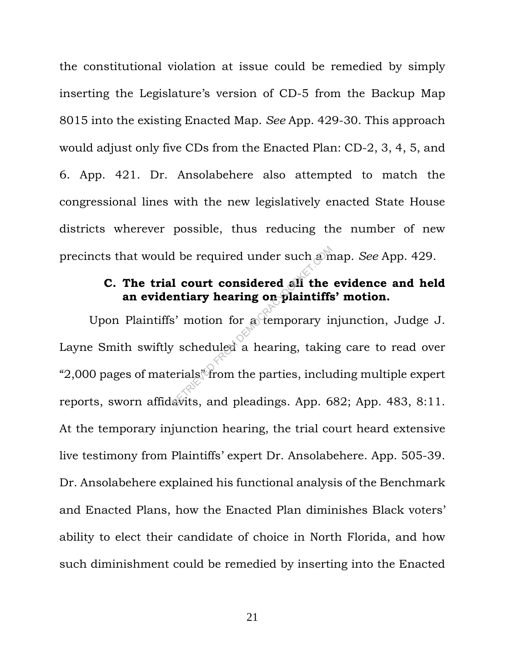the constitutional violation at issue could be remedied by simply inserting the Legislature's version of CD-5 from the Backup Map 8015 into the existing Enacted Map. *See* App. 429-30. This approach would adjust only five CDs from the Enacted Plan: CD-2, 3, 4, 5, and 6. App. 421. Dr. Ansolabehere also attempted to match the congressional lines with the new legislatively enacted State House districts wherever possible, thus reducing the number of new precincts that would be required under such a map. *See* App. 429.

## **C. The trial court considered all the evidence and held an evidentiary hearing on plaintiffs' motion.**

Upon Plaintiffs' motion for a temporary injunction, Judge J. Layne Smith swiftly scheduled a hearing, taking care to read over "2,000 pages of materials" from the parties, including multiple expert reports, sworn affidavits, and pleadings. App. 682; App. 483, 8:11. At the temporary injunction hearing, the trial court heard extensive live testimony from Plaintiffs' expert Dr. Ansolabehere. App. 505-39. Dr. Ansolabehere explained his functional analysis of the Benchmark and Enacted Plans, how the Enacted Plan diminishes Black voters' ability to elect their candidate of choice in North Florida, and how such diminishment could be remedied by inserting into the Enacted d be required under such and<br> **1 court considered all the**<br> **intiary hearing on plaintiffs**<br>
is' motion for a temporary in<br>
v scheduled a hearing, takin<br>
erials from the parties, incluents<br>
avits, and pleadings. App. 6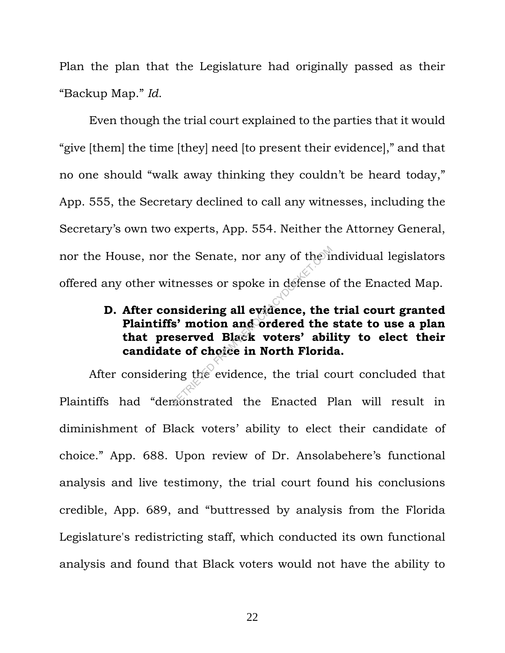Plan the plan that the Legislature had originally passed as their "Backup Map." *Id*.

Even though the trial court explained to the parties that it would "give [them] the time [they] need [to present their evidence]," and that no one should "walk away thinking they couldn't be heard today," App. 555, the Secretary declined to call any witnesses, including the Secretary's own two experts, App. 554. Neither the Attorney General, nor the House, nor the Senate, nor any of the individual legislators offered any other witnesses or spoke in defense of the Enacted Map.

# **D. After considering all evidence, the trial court granted Plaintiffs' motion and ordered the state to use a plan that preserved Black voters' ability to elect their candidate of choice in North Florida.** the Senate, nor any of the in<br>thesses or spoke in defense of<br>**nsidering all evidence, the**<br>**s' motion and ordered the**<br>**served Black voters' abil<br>te of choice in North Florid**<br>ing the evidence, the trial componstrated the

After considering the evidence, the trial court concluded that Plaintiffs had "demonstrated the Enacted Plan will result in diminishment of Black voters' ability to elect their candidate of choice." App. 688. Upon review of Dr. Ansolabehere's functional analysis and live testimony, the trial court found his conclusions credible, App. 689, and "buttressed by analysis from the Florida Legislature's redistricting staff, which conducted its own functional analysis and found that Black voters would not have the ability to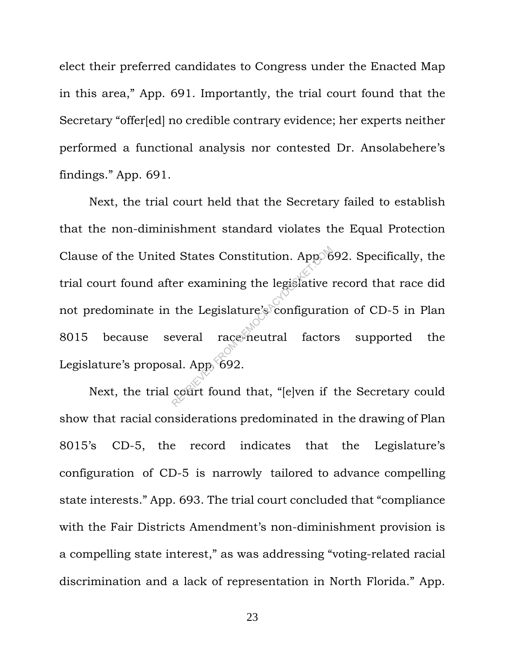elect their preferred candidates to Congress under the Enacted Map in this area," App. 691. Importantly, the trial court found that the Secretary "offer[ed] no credible contrary evidence; her experts neither performed a functional analysis nor contested Dr. Ansolabehere's findings." App. 691.

Next, the trial court held that the Secretary failed to establish that the non-diminishment standard violates the Equal Protection Clause of the United States Constitution. App. 692. Specifically, the trial court found after examining the legislative record that race did not predominate in the Legislature's configuration of CD-5 in Plan 8015 because several race-neutral factors supported the Legislature's proposal. App. 692. Reflective Constitution. Applement of the Legislature's configuration of the Legislature's configuration of the Legislature's configuration.<br>al. Apple 692.<br>Court found that, "[e]ven if

Next, the trial court found that, "[e]ven if the Secretary could show that racial considerations predominated in the drawing of Plan 8015's CD-5, the record indicates that the Legislature's configuration of CD-5 is narrowly tailored to advance compelling state interests." App. 693. The trial court concluded that "compliance with the Fair Districts Amendment's non-diminishment provision is a compelling state interest," as was addressing "voting-related racial discrimination and a lack of representation in North Florida." App.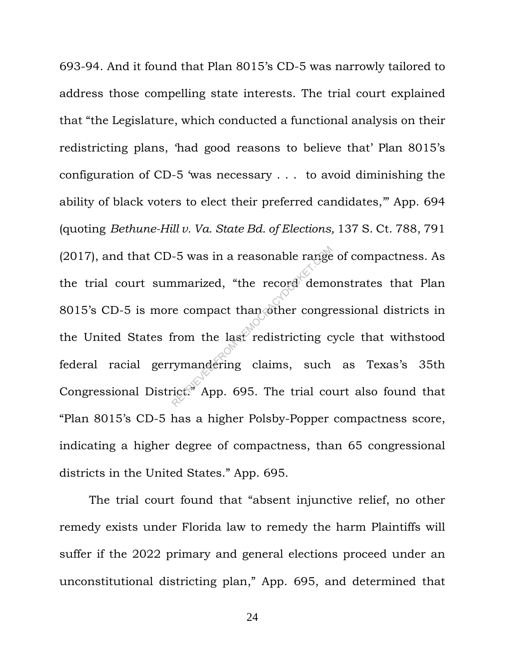693-94. And it found that Plan 8015's CD-5 was narrowly tailored to address those compelling state interests. The trial court explained that "the Legislature, which conducted a functional analysis on their redistricting plans, 'had good reasons to believe that' Plan 8015's configuration of CD-5 'was necessary . . . to avoid diminishing the ability of black voters to elect their preferred candidates,'" App. 694 (quoting *Bethune-Hill v. Va. State Bd. of Elections,* 137 S. Ct. 788, 791 (2017), and that CD-5 was in a reasonable range of compactness. As the trial court summarized, "the record demonstrates that Plan 8015's CD-5 is more compact than other congressional districts in the United States from the last redistricting cycle that withstood federal racial gerrymandering claims, such as Texas's 35th Congressional District." App. 695. The trial court also found that "Plan 8015's CD-5 has a higher Polsby-Popper compactness score, indicating a higher degree of compactness, than 65 congressional districts in the United States." App. 695. -5 was in a reasonable range<br>
nmarized, "the record democracy<br>
recompact than other congregion<br>
from the last redistricting c<br>
rymandering claims, such<br>
rict. App. 695. The trial co

The trial court found that "absent injunctive relief, no other remedy exists under Florida law to remedy the harm Plaintiffs will suffer if the 2022 primary and general elections proceed under an unconstitutional districting plan," App. 695, and determined that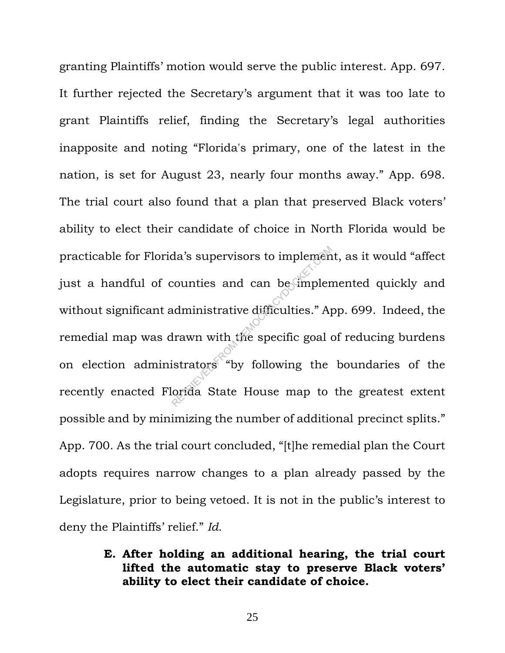granting Plaintiffs' motion would serve the public interest. App. 697. It further rejected the Secretary's argument that it was too late to grant Plaintiffs relief, finding the Secretary's legal authorities inapposite and noting "Florida's primary, one of the latest in the nation, is set for August 23, nearly four months away." App. 698. The trial court also found that a plan that preserved Black voters' ability to elect their candidate of choice in North Florida would be practicable for Florida's supervisors to implement, as it would "affect just a handful of counties and can be implemented quickly and without significant administrative difficulties." App. 699. Indeed, the remedial map was drawn with the specific goal of reducing burdens on election administrators "by following the boundaries of the recently enacted Florida State House map to the greatest extent possible and by minimizing the number of additional precinct splits." App. 700. As the trial court concluded, "[t]he remedial plan the Court adopts requires narrow changes to a plan already passed by the Legislature, prior to being vetoed. It is not in the public's interest to deny the Plaintiffs' relief." *Id*. da's supervisors to implement<br>counties and can be implement<br>dministrative difficulties." Ap<br>drawn with the specific goal distrators "by following the<br>orida State House map to

> **E. After holding an additional hearing, the trial court lifted the automatic stay to preserve Black voters' ability to elect their candidate of choice.**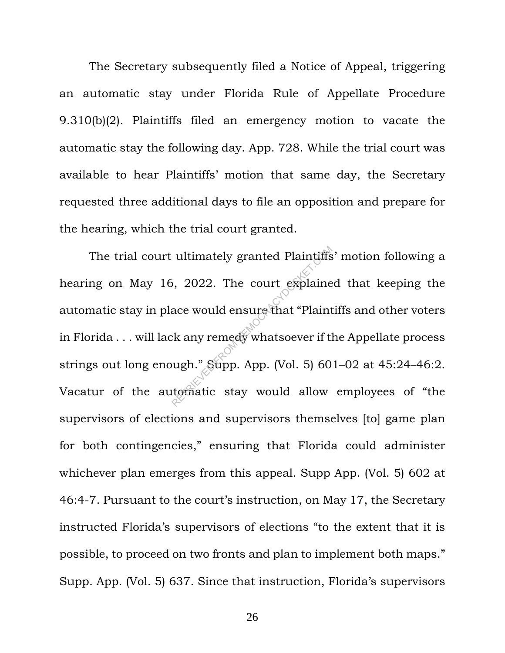The Secretary subsequently filed a Notice of Appeal, triggering an automatic stay under Florida Rule of Appellate Procedure 9.310(b)(2). Plaintiffs filed an emergency motion to vacate the automatic stay the following day. App. 728. While the trial court was available to hear Plaintiffs' motion that same day, the Secretary requested three additional days to file an opposition and prepare for the hearing, which the trial court granted.

The trial court ultimately granted Plaintiffs' motion following a hearing on May 16, 2022. The court explained that keeping the automatic stay in place would ensure that "Plaintiffs and other voters in Florida . . . will lack any remedy whatsoever if the Appellate process strings out long enough." Supp. App. (Vol. 5) 601–02 at 45:24–46:2. Vacatur of the automatic stay would allow employees of "the supervisors of elections and supervisors themselves [to] game plan for both contingencies," ensuring that Florida could administer whichever plan emerges from this appeal. Supp App. (Vol. 5) 602 at 46:4-7. Pursuant to the court's instruction, on May 17, the Secretary instructed Florida's supervisors of elections "to the extent that it is possible, to proceed on two fronts and plan to implement both maps." Supp. App. (Vol. 5) 637. Since that instruction, Florida's supervisors ultimately granted Plaintiffs<br>
i, 2022. The court explaine<br>
ace would ensure that "Plaint<br>
k any remedy whatsoever if the<br>
ugh." Supp. App. (Vol. 5) 60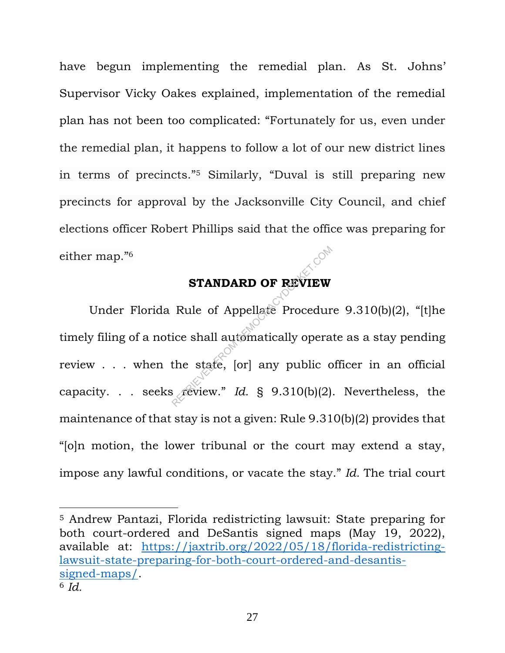have begun implementing the remedial plan. As St. Johns' Supervisor Vicky Oakes explained, implementation of the remedial plan has not been too complicated: "Fortunately for us, even under the remedial plan, it happens to follow a lot of our new district lines in terms of precincts."<sup>5</sup> Similarly, "Duval is still preparing new precincts for approval by the Jacksonville City Council, and chief elections officer Robert Phillips said that the office was preparing for either map."<sup>6</sup>

## **STANDARD OF REVIEW**

Under Florida Rule of Appellate Procedure 9.310(b)(2), "[t]he timely filing of a notice shall automatically operate as a stay pending review . . . when the state, [or] any public officer in an official capacity. . . seeks review." *Id.* § 9.310(b)(2). Nevertheless, the maintenance of that stay is not a given: Rule 9.310(b)(2) provides that "[o]n motion, the lower tribunal or the court may extend a stay, impose any lawful conditions, or vacate the stay." *Id.* The trial court **STANDARD OF REVIEW**<br>Rule of Appellate Procedurice shall automatically opera<br>the state, [or] any public computers

<sup>5</sup> Andrew Pantazi, Florida redistricting lawsuit: State preparing for both court-ordered and DeSantis signed maps (May 19, 2022), available at: https://jaxtrib.org/2022/05/18/florida-redistrictinglawsuit-state-preparing-for-both-court-ordered-and-desantissigned-maps/. <sup>6</sup> *Id.*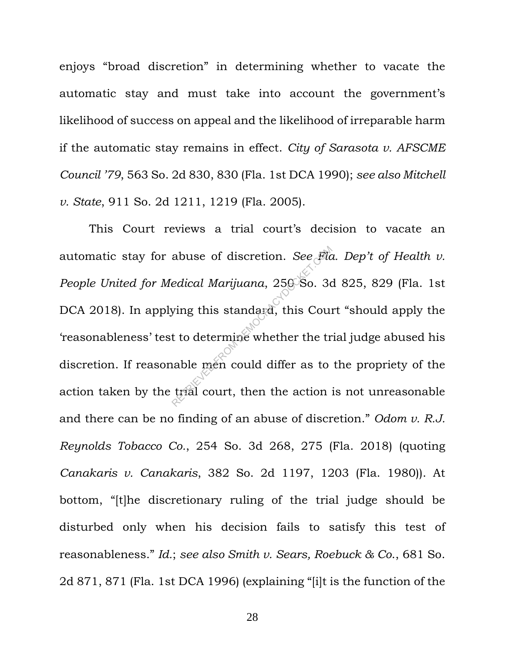enjoys "broad discretion" in determining whether to vacate the automatic stay and must take into account the government's likelihood of success on appeal and the likelihood of irreparable harm if the automatic stay remains in effect. *City of Sarasota v. AFSCME Council '79*, 563 So. 2d 830, 830 (Fla. 1st DCA 1990); *see also Mitchell v. State*, 911 So. 2d 1211, 1219 (Fla. 2005).

This Court reviews a trial court's decision to vacate an automatic stay for abuse of discretion. *See Fla. Dep't of Health v. People United for Medical Marijuana*, 250 So. 3d 825, 829 (Fla. 1st DCA 2018). In applying this standard, this Court "should apply the 'reasonableness' test to determine whether the trial judge abused his discretion. If reasonable men could differ as to the propriety of the action taken by the trial court, then the action is not unreasonable and there can be no finding of an abuse of discretion." *Odom v. R.J. Reynolds Tobacco Co.*, 254 So. 3d 268, 275 (Fla. 2018) (quoting *Canakaris v. Canakaris*, 382 So. 2d 1197, 1203 (Fla. 1980)). At bottom, "[t]he discretionary ruling of the trial judge should be disturbed only when his decision fails to satisfy this test of reasonableness." *Id.*; *see also Smith v. Sears, Roebuck & Co*., 681 So. 2d 871, 871 (Fla. 1st DCA 1996) (explaining "[i]t is the function of the abuse of discretion. See Fide<br>
edical Marijuana, 259 So. 3d<br>
ying this standard, this Count<br>
t to determine whether the truable men could differ as to<br>
trial court, then the action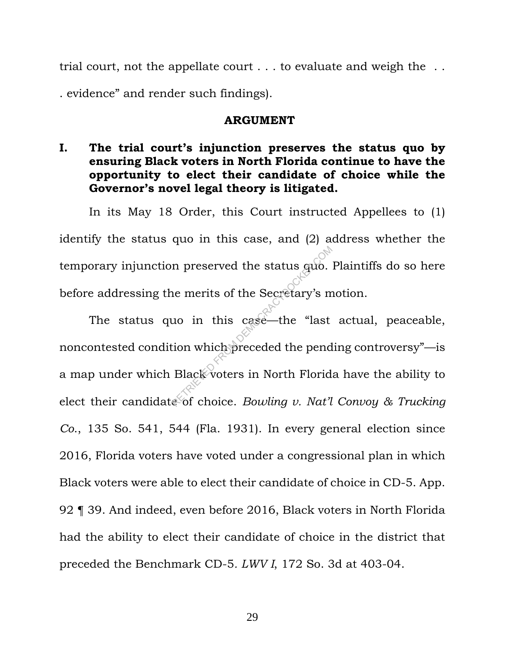trial court, not the appellate court . . . to evaluate and weigh the . . . evidence" and render such findings).

#### **ARGUMENT**

**I. The trial court's injunction preserves the status quo by ensuring Black voters in North Florida continue to have the opportunity to elect their candidate of choice while the Governor's novel legal theory is litigated.** 

In its May 18 Order, this Court instructed Appellees to (1) identify the status quo in this case, and (2) address whether the temporary injunction preserved the status quo. Plaintiffs do so here before addressing the merits of the Secretary's motion.

The status quo in this case—the "last actual, peaceable, noncontested condition which preceded the pending controversy"—is a map under which Black voters in North Florida have the ability to elect their candidate of choice. *Bowling v. Nat'l Convoy & Trucking Co*., 135 So. 541, 544 (Fla. 1931). In every general election since 2016, Florida voters have voted under a congressional plan in which Black voters were able to elect their candidate of choice in CD-5. App. 92 ¶ 39. And indeed, even before 2016, Black voters in North Florida had the ability to elect their candidate of choice in the district that preceded the Benchmark CD-5*. LWV I*, 172 So. 3d at 403-04. In preserved the status guo.<br>
Return of the Secretary's m<br>
Return of the Secretary's m<br>
Return of the pend<br>
Black voters in North Florid<br>
Return of choice. Bowling v. Nat'll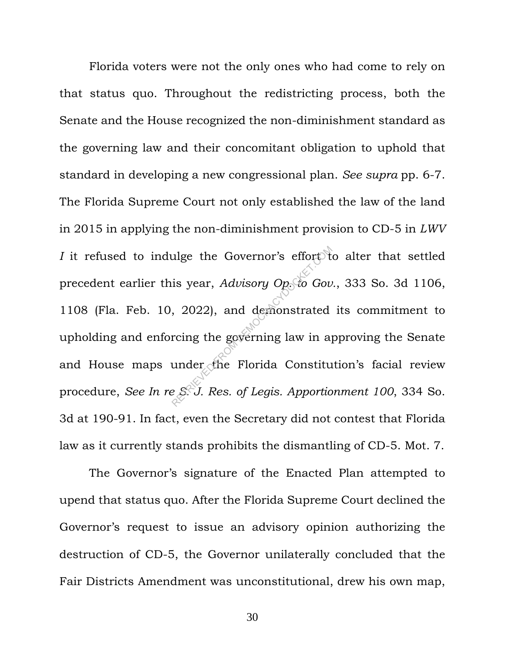Florida voters were not the only ones who had come to rely on that status quo. Throughout the redistricting process, both the Senate and the House recognized the non-diminishment standard as the governing law and their concomitant obligation to uphold that standard in developing a new congressional plan. *See supra* pp. 6-7. The Florida Supreme Court not only established the law of the land in 2015 in applying the non-diminishment provision to CD-5 in *LWV I* it refused to indulge the Governor's effort to alter that settled precedent earlier this year, *Advisory Op. to Gov.*, 333 So. 3d 1106, 1108 (Fla. Feb. 10, 2022), and demonstrated its commitment to upholding and enforcing the governing law in approving the Senate and House maps under the Florida Constitution's facial review procedure, *See In re S. J. Res. of Legis. Apportionment 100*, 334 So. 3d at 190-91. In fact, even the Secretary did not contest that Florida law as it currently stands prohibits the dismantling of CD-5. Mot. 7. ulge the Governor's effort tis year, Advisory Op<sub>o</sub>to Gov,<br>2022), and demonstrated<br>rcing the governing law in a<br>under the Florida Constitu

The Governor's signature of the Enacted Plan attempted to upend that status quo. After the Florida Supreme Court declined the Governor's request to issue an advisory opinion authorizing the destruction of CD-5, the Governor unilaterally concluded that the Fair Districts Amendment was unconstitutional, drew his own map,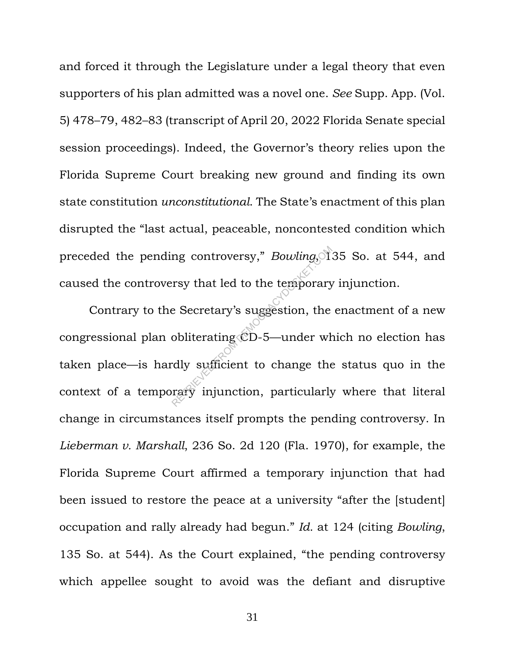and forced it through the Legislature under a legal theory that even supporters of his plan admitted was a novel one. *See* Supp. App. (Vol. 5) 478–79, 482–83 (transcript of April 20, 2022 Florida Senate special session proceedings). Indeed, the Governor's theory relies upon the Florida Supreme Court breaking new ground and finding its own state constitution *unconstitutional*. The State's enactment of this plan disrupted the "last actual, peaceable, noncontested condition which preceded the pending controversy," *Bowling*, 135 So. at 544, and caused the controversy that led to the temporary injunction.

Contrary to the Secretary's suggestion, the enactment of a new congressional plan obliterating CD-5—under which no election has taken place—is hardly sufficient to change the status quo in the context of a temporary injunction, particularly where that literal change in circumstances itself prompts the pending controversy. In *Lieberman v. Marshall*, 236 So. 2d 120 (Fla. 1970), for example, the Florida Supreme Court affirmed a temporary injunction that had been issued to restore the peace at a university "after the [student] occupation and rally already had begun." *Id.* at 124 (citing *Bowling*, 135 So. at 544). As the Court explained, "the pending controversy which appellee sought to avoid was the defiant and disruptive rsy that led to the temporary<br>e Secretary's suggestion, the<br>obliterating CD-5—under where the<br>dly sufficient to change the<br>rary injunction, particularly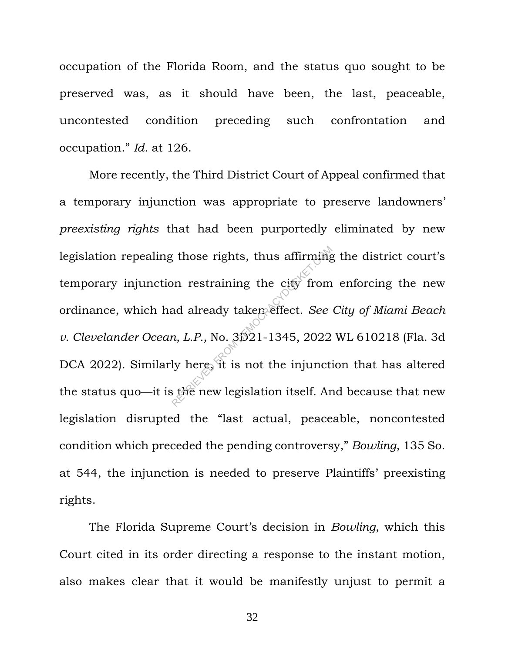occupation of the Florida Room, and the status quo sought to be preserved was, as it should have been, the last, peaceable, uncontested condition preceding such confrontation and occupation." *Id.* at 126.

More recently, the Third District Court of Appeal confirmed that a temporary injunction was appropriate to preserve landowners' *preexisting rights* that had been purportedly eliminated by new legislation repealing those rights, thus affirming the district court's temporary injunction restraining the city from enforcing the new ordinance, which had already taken effect. *See City of Miami Beach v. Clevelander Ocean, L.P.,* No. 3D21-1345, 2022 WL 610218 (Fla. 3d DCA 2022). Similarly here, it is not the injunction that has altered the status quo—it is the new legislation itself. And because that new legislation disrupted the "last actual, peaceable, noncontested condition which preceded the pending controversy," *Bowling*, 135 So. at 544, the injunction is needed to preserve Plaintiffs' preexisting rights. The sum of the set of the set of the set of the set of the added taken effect. See the *n*, *L.P.*, No. 31921-1345, 2022<br>Iy here it is not the injunction itself. Are new legislation itself. Are new legislation itself.

The Florida Supreme Court's decision in *Bowling*, which this Court cited in its order directing a response to the instant motion, also makes clear that it would be manifestly unjust to permit a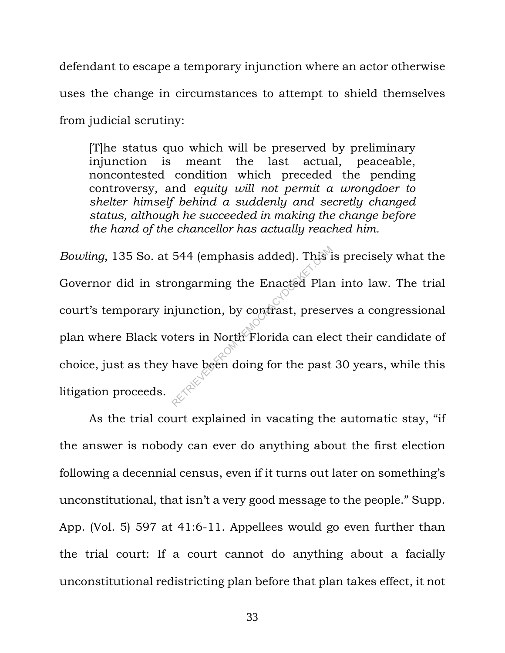defendant to escape a temporary injunction where an actor otherwise uses the change in circumstances to attempt to shield themselves from judicial scrutiny:

[T]he status quo which will be preserved by preliminary injunction is meant the last actual, peaceable, noncontested condition which preceded the pending controversy, and *equity will not permit a wrongdoer to shelter himself behind a suddenly and secretly changed status, although he succeeded in making the change before the hand of the chancellor has actually reached him.*

*Bowling*, 135 So. at 544 (emphasis added). This is precisely what the Governor did in strongarming the Enacted Plan into law. The trial court's temporary injunction, by contrast, preserves a congressional plan where Black voters in North Florida can elect their candidate of choice, just as they have been doing for the past 30 years, while this litigation proceeds. 544 (emphasis added). This is<br>ongarming the Enacted Plar<br>ijunction, by contrast, preser<br>oters in North Florida can ele<br>have been doing for the past

As the trial court explained in vacating the automatic stay, "if the answer is nobody can ever do anything about the first election following a decennial census, even if it turns out later on something's unconstitutional, that isn't a very good message to the people." Supp. App. (Vol. 5) 597 at 41:6-11. Appellees would go even further than the trial court: If a court cannot do anything about a facially unconstitutional redistricting plan before that plan takes effect, it not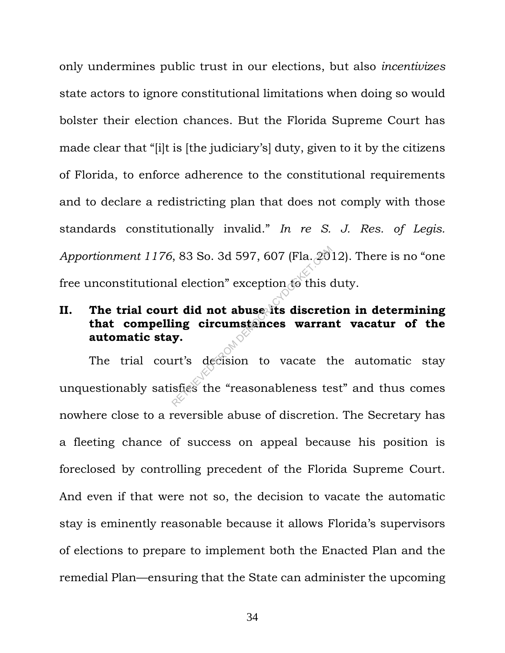only undermines public trust in our elections, but also *incentivizes*  state actors to ignore constitutional limitations when doing so would bolster their election chances. But the Florida Supreme Court has made clear that "[i]t is [the judiciary's] duty, given to it by the citizens of Florida, to enforce adherence to the constitutional requirements and to declare a redistricting plan that does not comply with those standards constitutionally invalid." *In re S. J. Res. of Legis. Apportionment 1176*, 83 So. 3d 597, 607 (Fla. 2012). There is no "one free unconstitutional election" exception to this duty.

## **II. The trial court did not abuse its discretion in determining that compelling circumstances warrant vacatur of the automatic stay.**

The trial court's decision to vacate the automatic stay unquestionably satisfies the "reasonableness test" and thus comes nowhere close to a reversible abuse of discretion. The Secretary has a fleeting chance of success on appeal because his position is foreclosed by controlling precedent of the Florida Supreme Court. And even if that were not so, the decision to vacate the automatic stay is eminently reasonable because it allows Florida's supervisors of elections to prepare to implement both the Enacted Plan and the remedial Plan—ensuring that the State can administer the upcoming RETRIET SONS So. 3d 597, 607 (Fla. 20)<br>
al election" exception to this out **did not abuse its discret:**<br> **ing circumstances warrar**<br> **y.**<br>
urt's decision to vacate the "reasonableness te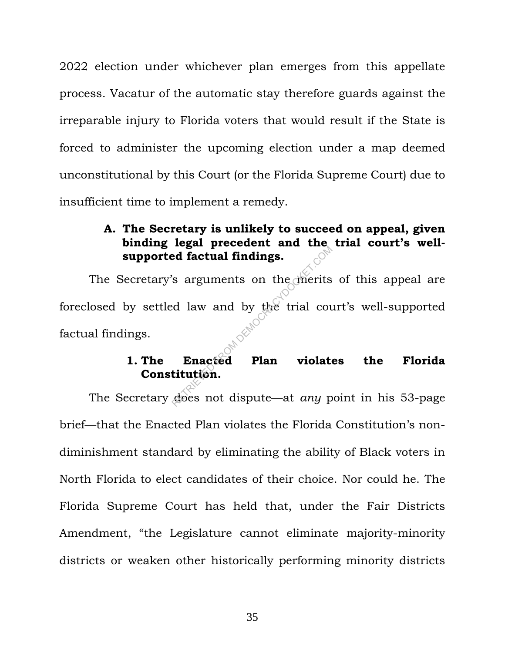2022 election under whichever plan emerges from this appellate process. Vacatur of the automatic stay therefore guards against the irreparable injury to Florida voters that would result if the State is forced to administer the upcoming election under a map deemed unconstitutional by this Court (or the Florida Supreme Court) due to insufficient time to implement a remedy.

## **A. The Secretary is unlikely to succeed on appeal, given binding legal precedent and the trial court's wellsupported factual findings.**

The Secretary's arguments on the merits of this appeal are foreclosed by settled law and by the trial court's well-supported factual findings. ed factual findings.<br>
So arguments on the merits<br>
d law and by the trial countings.<br>
Enacted Plan violate<br>
titution.<br>
does not dispute—at *any* p

# **1. The Enacted Plan violates the Florida Constitution.**

The Secretary does not dispute—at *any* point in his 53-page brief—that the Enacted Plan violates the Florida Constitution's nondiminishment standard by eliminating the ability of Black voters in North Florida to elect candidates of their choice. Nor could he. The Florida Supreme Court has held that, under the Fair Districts Amendment, "the Legislature cannot eliminate majority-minority districts or weaken other historically performing minority districts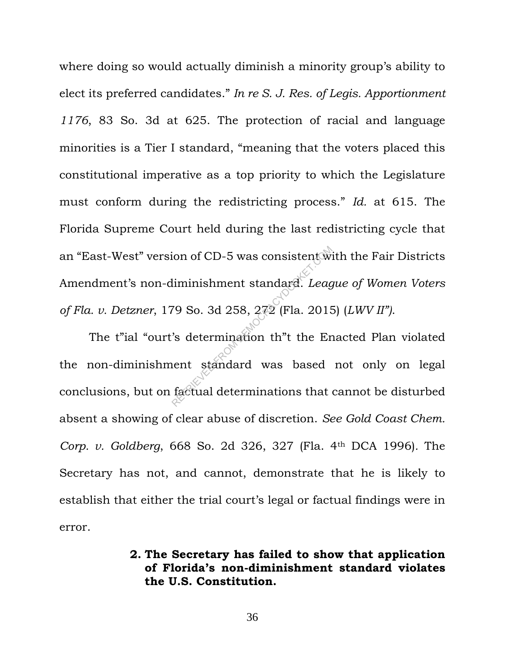where doing so would actually diminish a minority group's ability to elect its preferred candidates." *In re S. J. Res. of Legis. Apportionment 1176*, 83 So. 3d at 625. The protection of racial and language minorities is a Tier I standard, "meaning that the voters placed this constitutional imperative as a top priority to which the Legislature must conform during the redistricting process." *Id.* at 615. The Florida Supreme Court held during the last redistricting cycle that an "East-West" version of CD-5 was consistent with the Fair Districts Amendment's non-diminishment standard. *League of Women Voters of Fla. v. Detzner*, 179 So. 3d 258, 272 (Fla. 2015) (*LWV II")*.

The t"ial "ourt's determination th"t the Enacted Plan violated the non-diminishment standard was based not only on legal conclusions, but on factual determinations that cannot be disturbed absent a showing of clear abuse of discretion. *See Gold Coast Chem. Corp. v. Goldberg*, 668 So. 2d 326, 327 (Fla. 4th DCA 1996)*.* The Secretary has not, and cannot, demonstrate that he is likely to establish that either the trial court's legal or factual findings were in error. iminishment standard. League<br>
19 So. 3d 258, 272 (Fla. 2015<br>
18 determination th<sup>"</sup>t the Ern ent standard was based<br>
factual determinations that

### **2. The Secretary has failed to show that application of Florida's non-diminishment standard violates the U.S. Constitution.**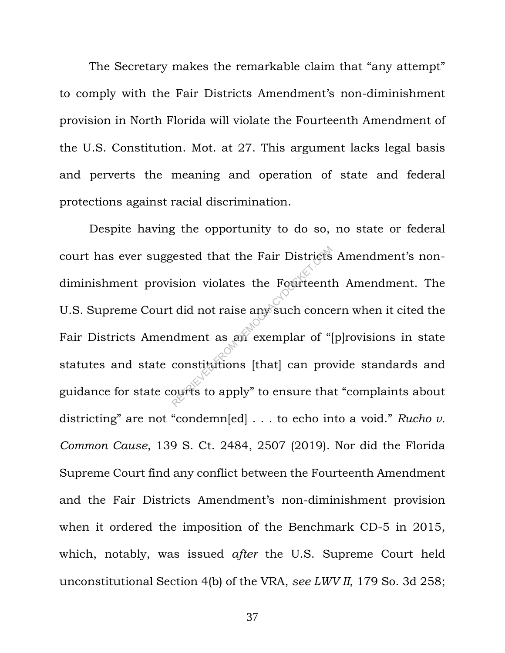The Secretary makes the remarkable claim that "any attempt" to comply with the Fair Districts Amendment's non-diminishment provision in North Florida will violate the Fourteenth Amendment of the U.S. Constitution. Mot. at 27. This argument lacks legal basis and perverts the meaning and operation of state and federal protections against racial discrimination.

Despite having the opportunity to do so, no state or federal court has ever suggested that the Fair Districts Amendment's nondiminishment provision violates the Fourteenth Amendment. The U.S. Supreme Court did not raise any such concern when it cited the Fair Districts Amendment as an exemplar of "[p]rovisions in state statutes and state constitutions [that] can provide standards and guidance for state courts to apply" to ensure that "complaints about districting" are not "condemn[ed] . . . to echo into a void." *Rucho v. Common Cause*, 139 S. Ct. 2484, 2507 (2019). Nor did the Florida Supreme Court find any conflict between the Fourteenth Amendment and the Fair Districts Amendment's non-diminishment provision when it ordered the imposition of the Benchmark CD-5 in 2015, which, notably, was issued *after* the U.S. Supreme Court held unconstitutional Section 4(b) of the VRA, *see LWV II*, 179 So. 3d 258; Rested that the Fair Districts<br>
ision violates the Fourteent<br>
conceduent as an exemplar of "<br>
constitutions [that] can pro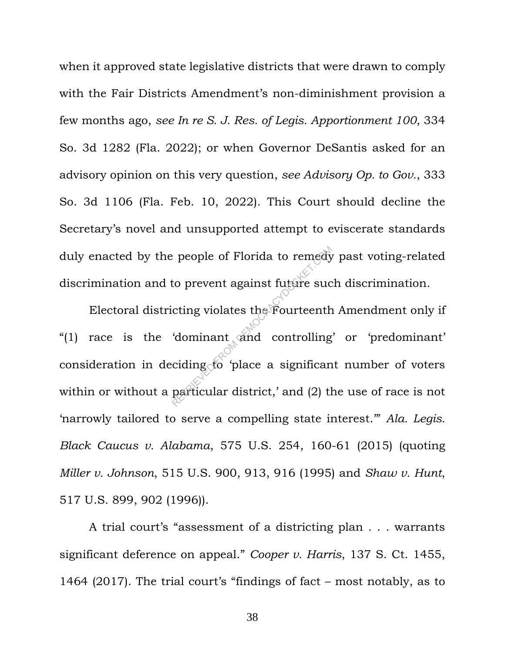when it approved state legislative districts that were drawn to comply with the Fair Districts Amendment's non-diminishment provision a few months ago, *see In re S. J. Res. of Legis. Apportionment 100*, 334 So. 3d 1282 (Fla. 2022); or when Governor DeSantis asked for an advisory opinion on this very question, *see Advisory Op. to Gov.*, 333 So. 3d 1106 (Fla. Feb. 10, 2022). This Court should decline the Secretary's novel and unsupported attempt to eviscerate standards duly enacted by the people of Florida to remedy past voting-related discrimination and to prevent against future such discrimination.

Electoral districting violates the Fourteenth Amendment only if "(1) race is the 'dominant and controlling' or 'predominant' consideration in deciding to 'place a significant number of voters within or without a particular district,' and (2) the use of race is not 'narrowly tailored to serve a compelling state interest.'" *Ala. Legis. Black Caucus v. Alabama*, 575 U.S. 254, 160-61 (2015) (quoting *Miller v. Johnson*, 515 U.S. 900, 913, 916 (1995) and *Shaw v. Hunt*, 517 U.S. 899, 902 (1996)). Prope of Florida to remedy<br>to prevent against future successing violates the Fourteenth<br>dominant and controlling<br>ciding to place a significan<br>particular district,' and (2) the

A trial court's "assessment of a districting plan . . . warrants significant deference on appeal." *Cooper v. Harris*, 137 S. Ct. 1455, 1464 (2017). The trial court's "findings of fact – most notably, as to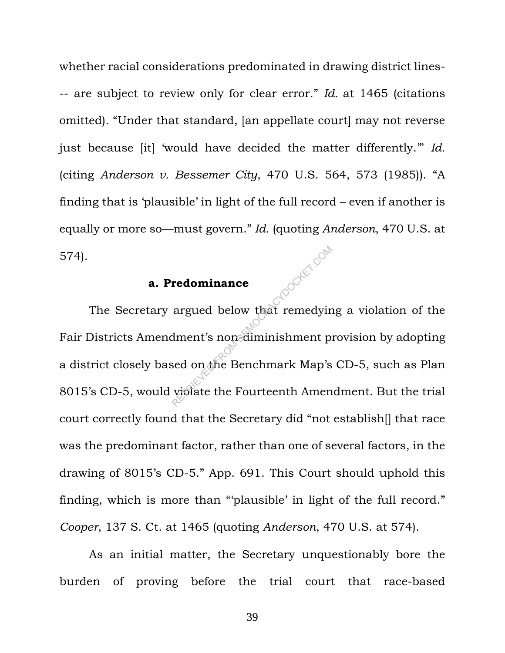whether racial considerations predominated in drawing district lines- -- are subject to review only for clear error." *Id.* at 1465 (citations omitted). "Under that standard, [an appellate court] may not reverse just because [it] 'would have decided the matter differently.'" *Id.* (citing *Anderson v. Bessemer City*, 470 U.S. 564, 573 (1985)). "A finding that is 'plausible' in light of the full record – even if another is equally or more so—must govern." *Id.* (quoting *Anderson*, 470 U.S. at 574). Tripoorker.com

#### **a. Predominance**

The Secretary argued below that remedying a violation of the Fair Districts Amendment's non-diminishment provision by adopting a district closely based on the Benchmark Map's CD-5, such as Plan 8015's CD-5, would violate the Fourteenth Amendment. But the trial court correctly found that the Secretary did "not establish[] that race was the predominant factor, rather than one of several factors, in the drawing of 8015's CD-5." App. 691. This Court should uphold this finding, which is more than "'plausible' in light of the full record." *Cooper*, 137 S. Ct. at 1465 (quoting *Anderson*, 470 U.S. at 574).

As an initial matter, the Secretary unquestionably bore the burden of proving before the trial court that race-based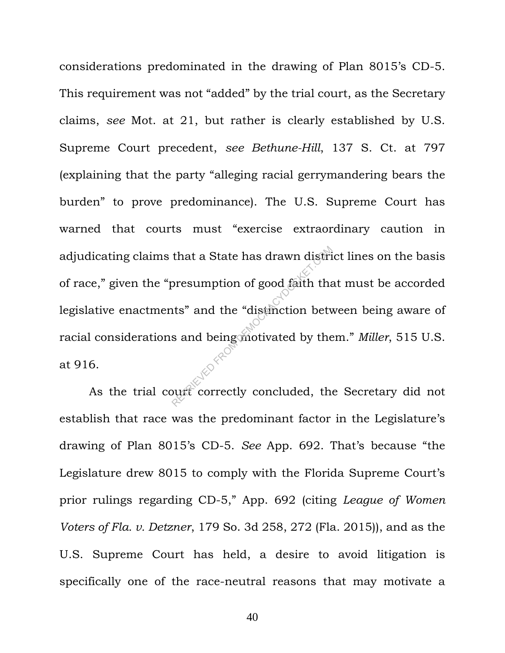considerations predominated in the drawing of Plan 8015's CD-5. This requirement was not "added" by the trial court, as the Secretary claims, *see* Mot. at 21, but rather is clearly established by U.S. Supreme Court precedent, *see Bethune-Hill*, 137 S. Ct. at 797 (explaining that the party "alleging racial gerrymandering bears the burden" to prove predominance). The U.S. Supreme Court has warned that courts must "exercise extraordinary caution in adjudicating claims that a State has drawn district lines on the basis of race," given the "presumption of good faith that must be accorded legislative enactments" and the "distinction between being aware of racial considerations and being motivated by them." *Miller*, 515 U.S. at 916. that a State has drawn distributed presumption of good faith that<br>its" and the "distinction between"<br>and being motivated by the

As the trial court correctly concluded, the Secretary did not establish that race was the predominant factor in the Legislature's drawing of Plan 8015's CD-5. *See* App. 692. That's because "the Legislature drew 8015 to comply with the Florida Supreme Court's prior rulings regarding CD-5," App. 692 (citing *League of Women Voters of Fla. v. Detzner*, 179 So. 3d 258, 272 (Fla. 2015)), and as the U.S. Supreme Court has held, a desire to avoid litigation is specifically one of the race-neutral reasons that may motivate a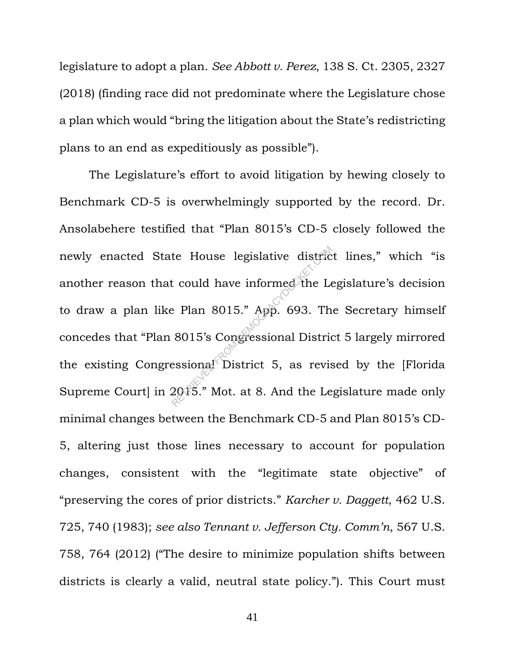legislature to adopt a plan. *See Abbott v. Perez*, 138 S. Ct. 2305, 2327 (2018) (finding race did not predominate where the Legislature chose a plan which would "bring the litigation about the State's redistricting plans to an end as expeditiously as possible").

The Legislature's effort to avoid litigation by hewing closely to Benchmark CD-5 is overwhelmingly supported by the record. Dr. Ansolabehere testified that "Plan 8015's CD-5 closely followed the newly enacted State House legislative district lines," which "is another reason that could have informed the Legislature's decision to draw a plan like Plan 8015." App. 693. The Secretary himself concedes that "Plan 8015's Congressional District 5 largely mirrored the existing Congressional District 5, as revised by the [Florida] Supreme Court] in 2015." Mot. at 8. And the Legislature made only minimal changes between the Benchmark CD-5 and Plan 8015's CD-5, altering just those lines necessary to account for population changes, consistent with the "legitimate state objective" of "preserving the cores of prior districts." *Karcher v. Daggett*, 462 U.S. 725, 740 (1983); *see also Tennant v. Jefferson Cty. Comm'n*, 567 U.S. 758, 764 (2012) ("The desire to minimize population shifts between districts is clearly a valid, neutral state policy."). This Court must te House legislative district<br>could have informed the Lee<br>Plan 8015." App. 693. Th<br>8015's Congressional District<br>essional District 5, as revised 2015." Mot. at 8. And the Lee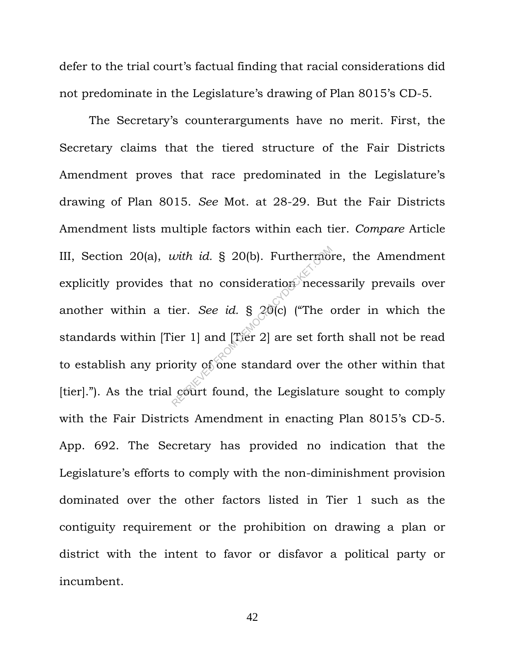defer to the trial court's factual finding that racial considerations did not predominate in the Legislature's drawing of Plan 8015's CD-5.

The Secretary's counterarguments have no merit. First, the Secretary claims that the tiered structure of the Fair Districts Amendment proves that race predominated in the Legislature's drawing of Plan 8015. *See* Mot. at 28-29. But the Fair Districts Amendment lists multiple factors within each tier. *Compare* Article III, Section 20(a), *with id.* § 20(b). Furthermore, the Amendment explicitly provides that no consideration necessarily prevails over another within a tier. *See id.* § 20(c) ("The order in which the standards within [Tier 1] and [Tier 2] are set forth shall not be read to establish any priority of one standard over the other within that [tier]."). As the trial court found, the Legislature sought to comply with the Fair Districts Amendment in enacting Plan 8015's CD-5. App. 692. The Secretary has provided no indication that the Legislature's efforts to comply with the non-diminishment provision dominated over the other factors listed in Tier 1 such as the contiguity requirement or the prohibition on drawing a plan or district with the intent to favor or disfavor a political party or incumbent. with id. § 20(b). Furthermont<br>that no consideration neces<br>ier. See id. § 20(c) ("The original property of one standard over the<br>court found, the Legislature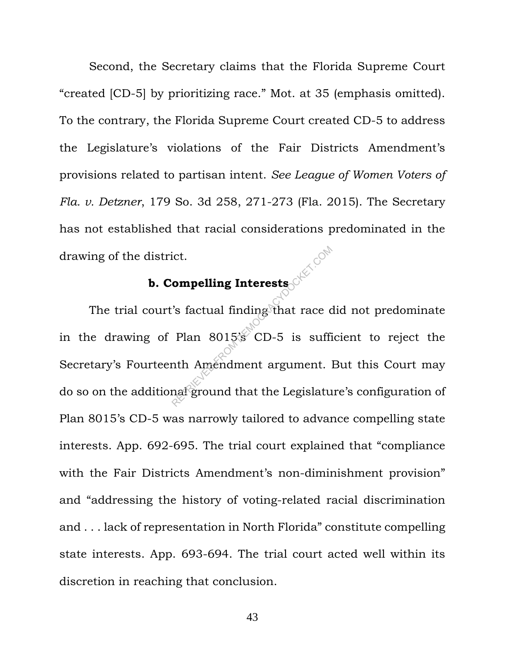Second, the Secretary claims that the Florida Supreme Court "created [CD-5] by prioritizing race." Mot. at 35 (emphasis omitted). To the contrary, the Florida Supreme Court created CD-5 to address the Legislature's violations of the Fair Districts Amendment's provisions related to partisan intent. *See League of Women Voters of Fla. v. Detzner*, 179 So. 3d 258, 271-273 (Fla. 2015). The Secretary has not established that racial considerations predominated in the drawing of the district.

#### **b. Compelling Interests**

The trial court's factual finding that race did not predominate in the drawing of Plan 8015's CD-5 is sufficient to reject the Secretary's Fourteenth Amendment argument. But this Court may do so on the additional ground that the Legislature's configuration of Plan 8015's CD-5 was narrowly tailored to advance compelling state interests. App. 692-695. The trial court explained that "compliance with the Fair Districts Amendment's non-diminishment provision" and "addressing the history of voting-related racial discrimination and . . . lack of representation in North Florida" constitute compelling state interests. App. 693-694. The trial court acted well within its discretion in reaching that conclusion. From **pelling Interests**<br>
Stactual finding that race of<br>
Plan 8015 CD-5 is sufficiently<br>
the Amendment argument.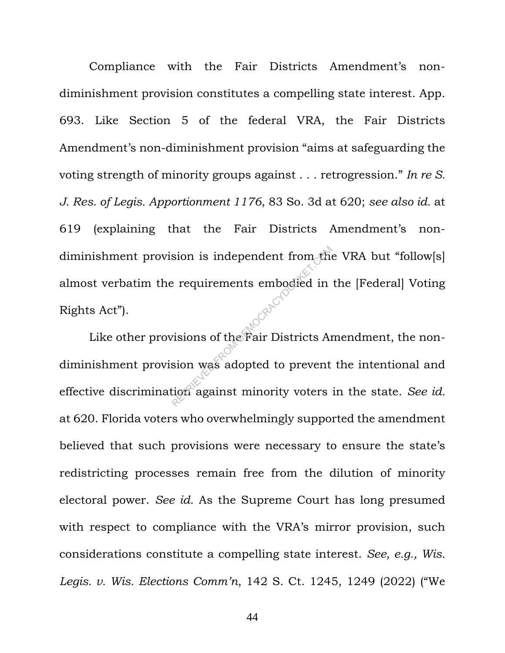Compliance with the Fair Districts Amendment's nondiminishment provision constitutes a compelling state interest. App. 693. Like Section 5 of the federal VRA, the Fair Districts Amendment's non-diminishment provision "aims at safeguarding the voting strength of minority groups against . . . retrogression." *In re S. J. Res. of Legis. Apportionment 1176*, 83 So. 3d at 620; *see also id.* at 619 (explaining that the Fair Districts Amendment's nondiminishment provision is independent from the VRA but "follow[s] almost verbatim the requirements embodied in the [Federal] Voting Rights Act").

Like other provisions of the Fair Districts Amendment, the nondiminishment provision was adopted to prevent the intentional and effective discrimination against minority voters in the state. *See id.* at 620. Florida voters who overwhelmingly supported the amendment believed that such provisions were necessary to ensure the state's redistricting processes remain free from the dilution of minority electoral power. *See id.* As the Supreme Court has long presumed with respect to compliance with the VRA's mirror provision, such considerations constitute a compelling state interest. *See, e.g., Wis. Legis. v. Wis. Elections Comm'n*, 142 S. Ct. 1245, 1249 (2022) ("We Exequirements embodied in<br>
Retrievents embodied in<br>
Retrievent<br>
Retrievent<br>
Retrievent<br>
Retrievent<br>
Retrievent<br>
Retrievent<br>
Retrievent<br>
Retrievent<br>
Retrievent<br>
Retrievent<br>
Retrievent<br>
Retrievent<br>
Retrievent<br>
Retrievent<br>
Re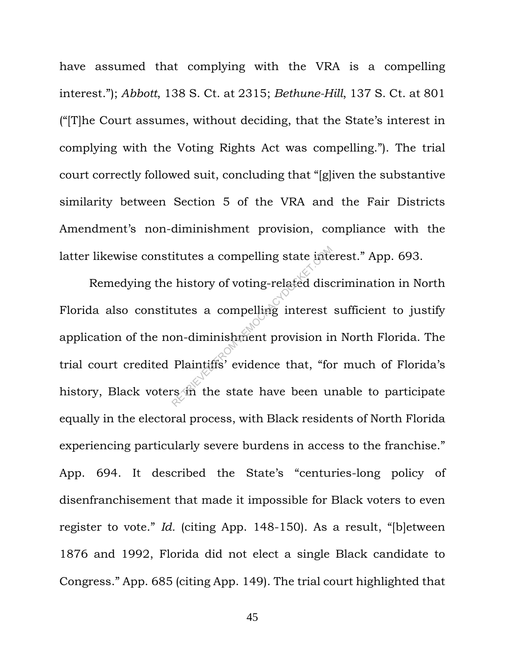have assumed that complying with the VRA is a compelling interest."); *Abbott*, 138 S. Ct. at 2315; *Bethune-Hill*, 137 S. Ct. at 801 ("[T]he Court assumes, without deciding, that the State's interest in complying with the Voting Rights Act was compelling."). The trial court correctly followed suit, concluding that "[g]iven the substantive similarity between Section 5 of the VRA and the Fair Districts Amendment's non-diminishment provision, compliance with the latter likewise constitutes a compelling state interest." App. 693.

Remedying the history of voting-related discrimination in North Florida also constitutes a compelling interest sufficient to justify application of the non-diminishment provision in North Florida. The trial court credited Plaintiffs' evidence that, "for much of Florida's history, Black voters in the state have been unable to participate equally in the electoral process, with Black residents of North Florida experiencing particularly severe burdens in access to the franchise." App. 694. It described the State's "centuries-long policy of disenfranchisement that made it impossible for Black voters to even register to vote." *Id.* (citing App. 148-150). As a result, "[b]etween 1876 and 1992, Florida did not elect a single Black candidate to Congress." App. 685 (citing App. 149). The trial court highlighted that itutes a compelling state interest<br>
utes a compelling interest<br>
on-diminishment provision in<br>
Plaintiffs' evidence that, "fore said the state have been un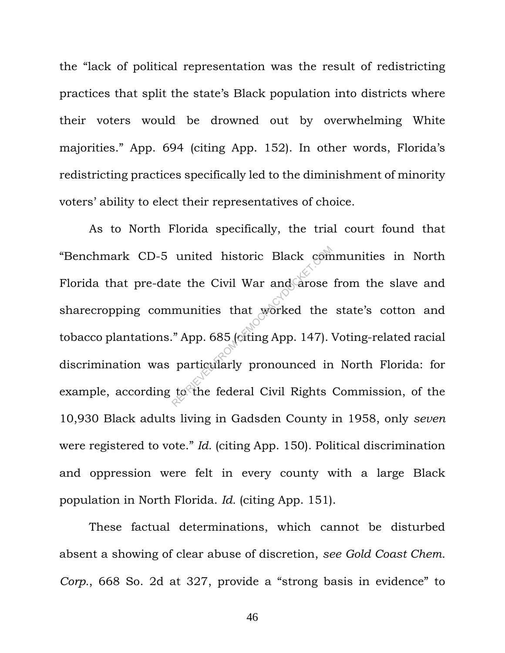the "lack of political representation was the result of redistricting practices that split the state's Black population into districts where their voters would be drowned out by overwhelming White majorities." App. 694 (citing App. 152). In other words, Florida's redistricting practices specifically led to the diminishment of minority voters' ability to elect their representatives of choice.

As to North Florida specifically, the trial court found that "Benchmark CD-5 united historic Black communities in North Florida that pre-date the Civil War and arose from the slave and sharecropping communities that worked the state's cotton and tobacco plantations." App. 685 (citing App. 147). Voting-related racial discrimination was particularly pronounced in North Florida: for example, according to the federal Civil Rights Commission, of the 10,930 Black adults living in Gadsden County in 1958, only *seven* were registered to vote." *Id.* (citing App. 150). Political discrimination and oppression were felt in every county with a large Black population in North Florida. *Id.* (citing App. 151). united historic Black com<br>te the Civil War and arose<br>munities that worked the<br>"App. 685 (citing App. 147).<br>particularly pronounced in<br>to the federal Civil Rights

These factual determinations, which cannot be disturbed absent a showing of clear abuse of discretion, *see Gold Coast Chem. Corp.*, 668 So. 2d at 327, provide a "strong basis in evidence" to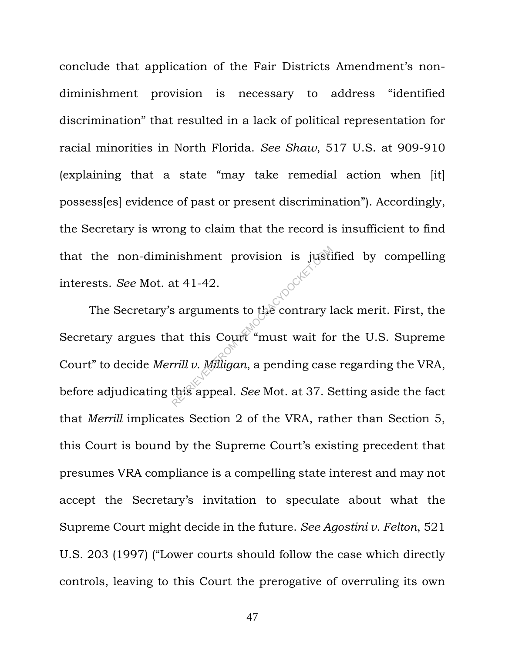conclude that application of the Fair Districts Amendment's nondiminishment provision is necessary to address "identified discrimination" that resulted in a lack of political representation for racial minorities in North Florida. *See Shaw*, 517 U.S. at 909-910 (explaining that a state "may take remedial action when [it] possess[es] evidence of past or present discrimination"). Accordingly, the Secretary is wrong to claim that the record is insufficient to find that the non-diminishment provision is justified by compelling interests. *See* Mot. at 41-42.

The Secretary's arguments to the contrary lack merit. First, the Secretary argues that this Court "must wait for the U.S. Supreme Court" to decide *Merrill v. Milligan*, a pending case regarding the VRA, before adjudicating this appeal. *See* Mot. at 37. Setting aside the fact that *Merrill* implicates Section 2 of the VRA, rather than Section 5, this Court is bound by the Supreme Court's existing precedent that presumes VRA compliance is a compelling state interest and may not accept the Secretary's invitation to speculate about what the Supreme Court might decide in the future. *See Agostini v. Felton*, 521 U.S. 203 (1997) ("Lower courts should follow the case which directly controls, leaving to this Court the prerogative of overruling its own The Summer of the Contrary<br>
Retail 41-42.<br>
Summer and this Count "must wait for the Contrary last this Count" "must wait for the Contrary last this appeal. See Mot. at 37. S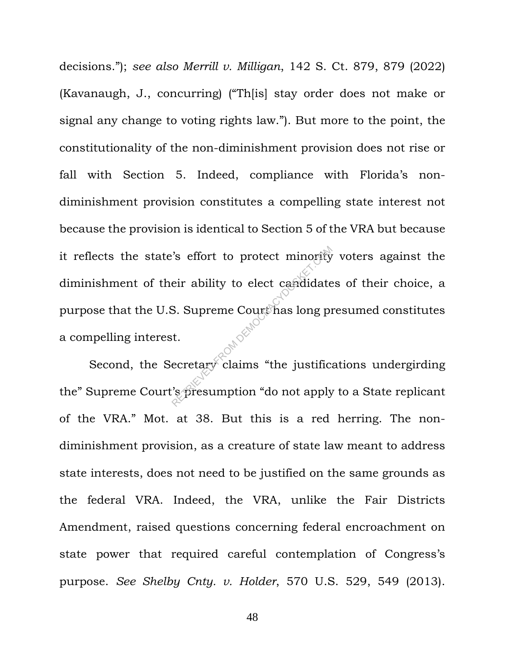decisions."); *see also Merrill v. Milligan*, 142 S. Ct. 879, 879 (2022) (Kavanaugh, J., concurring) ("Th[is] stay order does not make or signal any change to voting rights law."). But more to the point, the constitutionality of the non-diminishment provision does not rise or fall with Section 5. Indeed, compliance with Florida's nondiminishment provision constitutes a compelling state interest not because the provision is identical to Section 5 of the VRA but because it reflects the state's effort to protect minority voters against the diminishment of their ability to elect candidates of their choice, a purpose that the U.S. Supreme Court has long presumed constitutes a compelling interest. S effort to protect minority<br>
eir ability to elect capdidate<br>
S. Supreme Court has long protect<br>
t.<br>
ecretary claims "the justific<br>
S. Spresumption "do not apply

Second, the Secretary claims "the justifications undergirding the" Supreme Court's presumption "do not apply to a State replicant of the VRA." Mot. at 38. But this is a red herring. The nondiminishment provision, as a creature of state law meant to address state interests, does not need to be justified on the same grounds as the federal VRA. Indeed, the VRA, unlike the Fair Districts Amendment, raised questions concerning federal encroachment on state power that required careful contemplation of Congress's purpose. *See Shelby Cnty. v. Holder*, 570 U.S. 529, 549 (2013).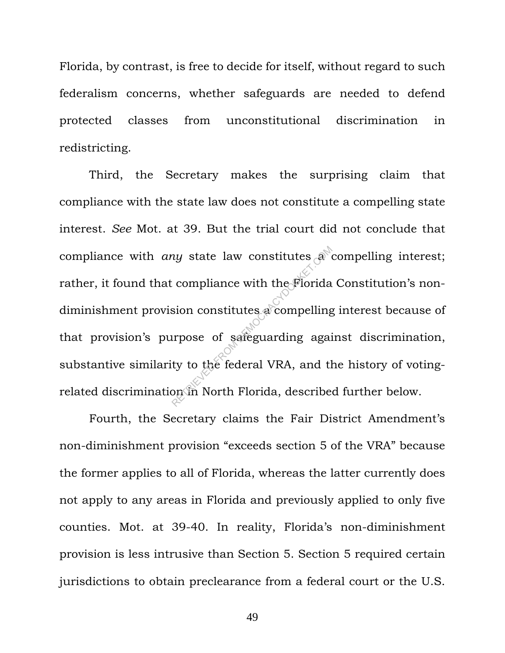Florida, by contrast, is free to decide for itself, without regard to such federalism concerns, whether safeguards are needed to defend protected classes from unconstitutional discrimination in redistricting.

Third, the Secretary makes the surprising claim that compliance with the state law does not constitute a compelling state interest. *See* Mot. at 39. But the trial court did not conclude that compliance with *any* state law constitutes a compelling interest; rather, it found that compliance with the Florida Constitution's nondiminishment provision constitutes a compelling interest because of that provision's purpose of safeguarding against discrimination, substantive similarity to the federal VRA, and the history of votingrelated discrimination in North Florida, described further below. return of the problem of the problem of safeguarding againty to the federal VRA, and the problem of the federal VRA, and the problem of North Florida, described and  $\frac{1}{2}$ 

Fourth, the Secretary claims the Fair District Amendment's non-diminishment provision "exceeds section 5 of the VRA" because the former applies to all of Florida, whereas the latter currently does not apply to any areas in Florida and previously applied to only five counties. Mot. at 39-40. In reality, Florida's non-diminishment provision is less intrusive than Section 5. Section 5 required certain jurisdictions to obtain preclearance from a federal court or the U.S.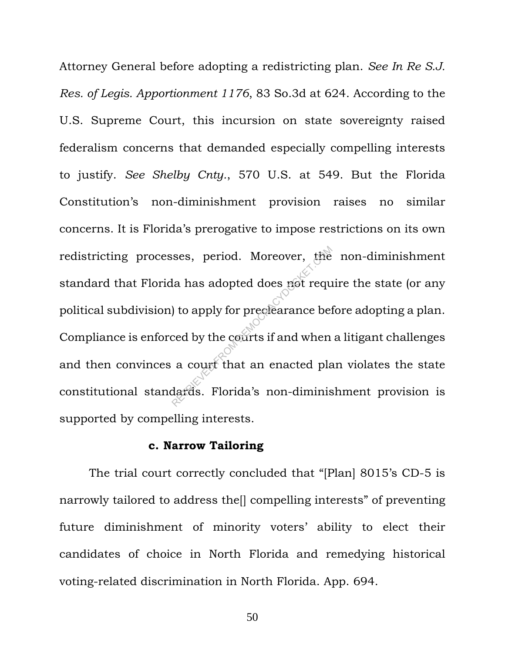Attorney General before adopting a redistricting plan. *See In Re S.J. Res. of Legis. Apportionment 1176*, 83 So.3d at 624. According to the U.S. Supreme Court, this incursion on state sovereignty raised federalism concerns that demanded especially compelling interests to justify. *See Shelby Cnty.*, 570 U.S. at 549. But the Florida Constitution's non-diminishment provision raises no similar concerns. It is Florida's prerogative to impose restrictions on its own redistricting processes, period. Moreover, the non-diminishment standard that Florida has adopted does not require the state (or any political subdivision) to apply for preclearance before adopting a plan. Compliance is enforced by the courts if and when a litigant challenges and then convinces a court that an enacted plan violates the state constitutional standards. Florida's non-diminishment provision is supported by compelling interests. Ses, period. Moreover, the<br>la has adopted does not requ<br>) to apply for preclearance bet<br>ced by the courts if and when<br>a court that an enacted plates. Florida's non-diminis

#### **c. Narrow Tailoring**

The trial court correctly concluded that "[Plan] 8015's CD-5 is narrowly tailored to address the[] compelling interests" of preventing future diminishment of minority voters' ability to elect their candidates of choice in North Florida and remedying historical voting-related discrimination in North Florida. App. 694.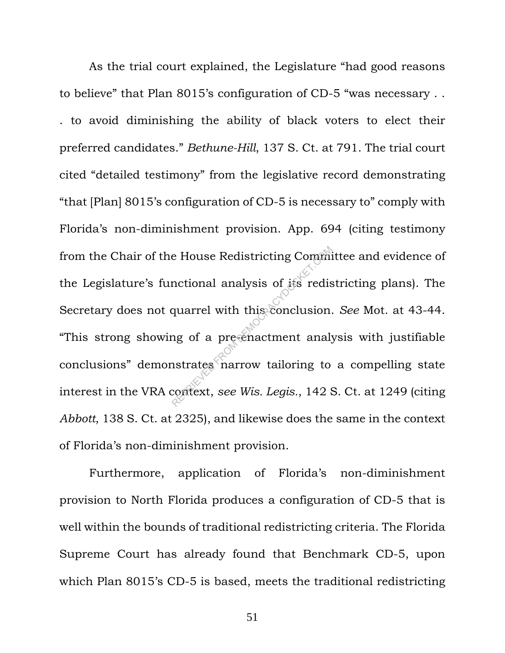As the trial court explained, the Legislature "had good reasons to believe" that Plan 8015's configuration of CD-5 "was necessary . . . to avoid diminishing the ability of black voters to elect their preferred candidates." *Bethune-Hill*, 137 S. Ct. at 791. The trial court cited "detailed testimony" from the legislative record demonstrating "that [Plan] 8015's configuration of CD-5 is necessary to" comply with Florida's non-diminishment provision. App. 694 (citing testimony from the Chair of the House Redistricting Committee and evidence of the Legislature's functional analysis of its redistricting plans). The Secretary does not quarrel with this conclusion. *See* Mot. at 43-44. "This strong showing of a pre-enactment analysis with justifiable conclusions" demonstrates narrow tailoring to a compelling state interest in the VRA context, *see Wis. Legis.*, 142 S. Ct. at 1249 (citing *Abbott*, 138 S. Ct. at 2325), and likewise does the same in the context of Florida's non-diminishment provision. re House Redistricting Comminum<br>
nctional analysis of its redis<br>
quarrel with this conclusion.<br>
ng of a pre-enactment analy<br>
nstrates narrow tailoring to<br>
context, see Wis. Legis., 142 S

Furthermore, application of Florida's non-diminishment provision to North Florida produces a configuration of CD-5 that is well within the bounds of traditional redistricting criteria. The Florida Supreme Court has already found that Benchmark CD-5, upon which Plan 8015's CD-5 is based, meets the traditional redistricting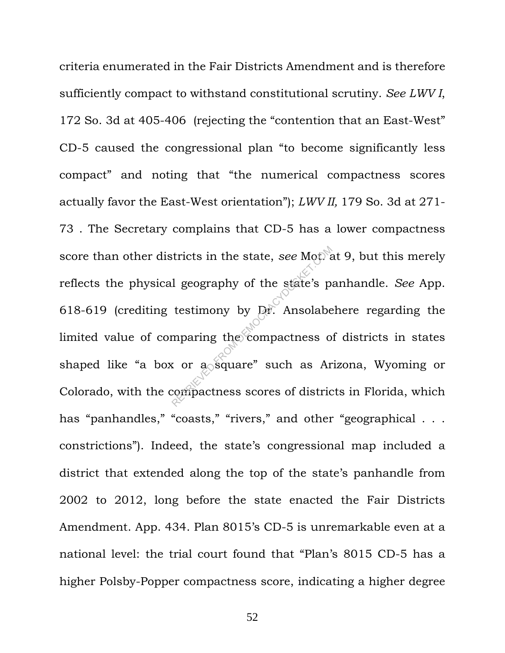criteria enumerated in the Fair Districts Amendment and is therefore sufficiently compact to withstand constitutional scrutiny. *See LWV I*, 172 So. 3d at 405-406 (rejecting the "contention that an East-West" CD-5 caused the congressional plan "to become significantly less compact" and noting that "the numerical compactness scores actually favor the East-West orientation"); *LWV II,* 179 So. 3d at 271- 73 . The Secretary complains that CD-5 has a lower compactness score than other districts in the state, *see* Mot. at 9, but this merely reflects the physical geography of the state's panhandle. *See* App. 618-619 (crediting testimony by Dr. Ansolabehere regarding the limited value of comparing the compactness of districts in states shaped like "a box or a square" such as Arizona, Wyoming or Colorado, with the compactness scores of districts in Florida, which has "panhandles," "coasts," "rivers," and other "geographical . . . constrictions"). Indeed, the state's congressional map included a district that extended along the top of the state's panhandle from 2002 to 2012, long before the state enacted the Fair Districts Amendment. App. 434. Plan 8015's CD-5 is unremarkable even at a national level: the trial court found that "Plan's 8015 CD-5 has a higher Polsby-Popper compactness score, indicating a higher degree Stricts in the state, see Motors<br>1 geography of the state's prestimony by Dr. Ansolabe<br>mparing the compactness of or a square" such as Arcompactness scores of district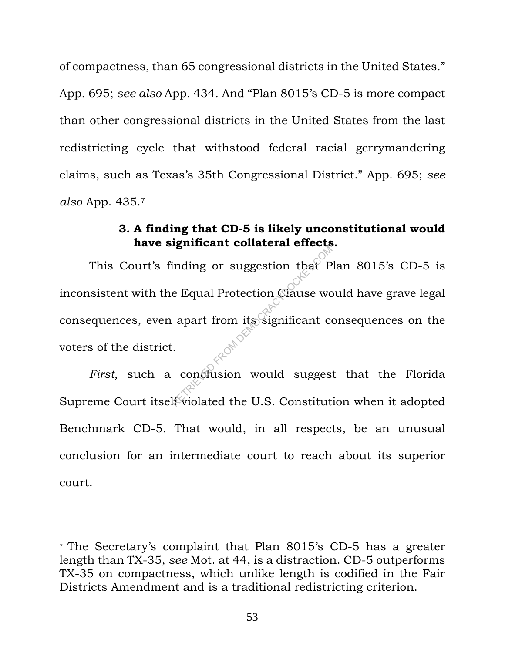of compactness, than 65 congressional districts in the United States." App. 695; *see also* App. 434. And "Plan 8015's CD-5 is more compact than other congressional districts in the United States from the last redistricting cycle that withstood federal racial gerrymandering claims, such as Texas's 35th Congressional District." App. 695; *see also* App. 435. 7

## **3. A finding that CD-5 is likely unconstitutional would have significant collateral effects.**

This Court's finding or suggestion that Plan 8015's CD-5 is inconsistent with the Equal Protection Clause would have grave legal consequences, even apart from its significant consequences on the voters of the district. Examples of suggestion that P<br>e Equal Protection Clause we<br>apart from its significant complete<br>conclusion would sugges

First, such a conclusion would suggest that the Florida Supreme Court itself violated the U.S. Constitution when it adopted Benchmark CD-5. That would, in all respects, be an unusual conclusion for an intermediate court to reach about its superior court.

<sup>7</sup> The Secretary's complaint that Plan 8015's CD-5 has a greater length than TX-35, *see* Mot. at 44, is a distraction. CD-5 outperforms TX-35 on compactness, which unlike length is codified in the Fair Districts Amendment and is a traditional redistricting criterion.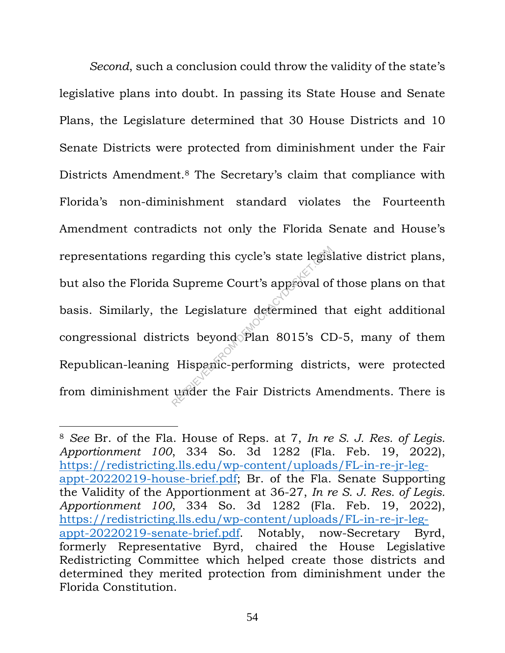*Second*, such a conclusion could throw the validity of the state's legislative plans into doubt. In passing its State House and Senate Plans, the Legislature determined that 30 House Districts and 10 Senate Districts were protected from diminishment under the Fair Districts Amendment.<sup>8</sup> The Secretary's claim that compliance with Florida's non-diminishment standard violates the Fourteenth Amendment contradicts not only the Florida Senate and House's representations regarding this cycle's state legislative district plans, but also the Florida Supreme Court's approval of those plans on that basis. Similarly, the Legislature determined that eight additional congressional districts beyond Plan 8015's CD-5, many of them Republican-leaning Hispanic-performing districts, were protected from diminishment under the Fair Districts Amendments. There is arding this cycle's state legis<br>
Supreme Court's approval of<br>
e Legislature determined th<br>
icts beyond Plan 8015's CI<br>
Hispanic-performing districts<br>
under the Fair Districts Am

<sup>8</sup> *See* Br. of the Fla. House of Reps. at 7, *In re S. J. Res. of Legis. Apportionment 100*, 334 So. 3d 1282 (Fla. Feb. 19, 2022), https://redistricting.lls.edu/wp-content/uploads/FL-in-re-jr-legappt-20220219-house-brief.pdf; Br. of the Fla. Senate Supporting the Validity of the Apportionment at 36-27, *In re S. J. Res. of Legis. Apportionment 100*, 334 So. 3d 1282 (Fla. Feb. 19, 2022), https://redistricting.lls.edu/wp-content/uploads/FL-in-re-jr-legappt-20220219-senate-brief.pdf. Notably, now-Secretary Byrd, formerly Representative Byrd, chaired the House Legislative Redistricting Committee which helped create those districts and determined they merited protection from diminishment under the Florida Constitution.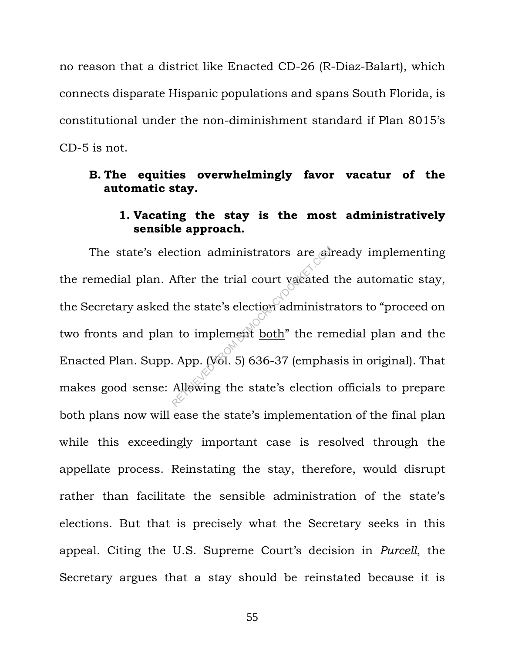no reason that a district like Enacted CD-26 (R-Diaz-Balart), which connects disparate Hispanic populations and spans South Florida, is constitutional under the non-diminishment standard if Plan 8015's CD-5 is not.

### **B. The equities overwhelmingly favor vacatur of the automatic stay.**

### **1. Vacating the stay is the most administratively sensible approach.**

The state's election administrators are already implementing the remedial plan. After the trial court vacated the automatic stay, the Secretary asked the state's election administrators to "proceed on two fronts and plan to implement both" the remedial plan and the Enacted Plan. Supp. App. (Vol. 5) 636-37 (emphasis in original). That makes good sense: Allowing the state's election officials to prepare both plans now will ease the state's implementation of the final plan while this exceedingly important case is resolved through the appellate process. Reinstating the stay, therefore, would disrupt rather than facilitate the sensible administration of the state's elections. But that is precisely what the Secretary seeks in this appeal. Citing the U.S. Supreme Court's decision in *Purcell*, the Secretary argues that a stay should be reinstated because it is ection administrators are administrators are administrated<br>After the trial court vacated<br>the state's election administration<br>is to implement <u>both</u>" the rere.<br>App. (Vol. 5) 636-37 (empha<br>Allewing the state's election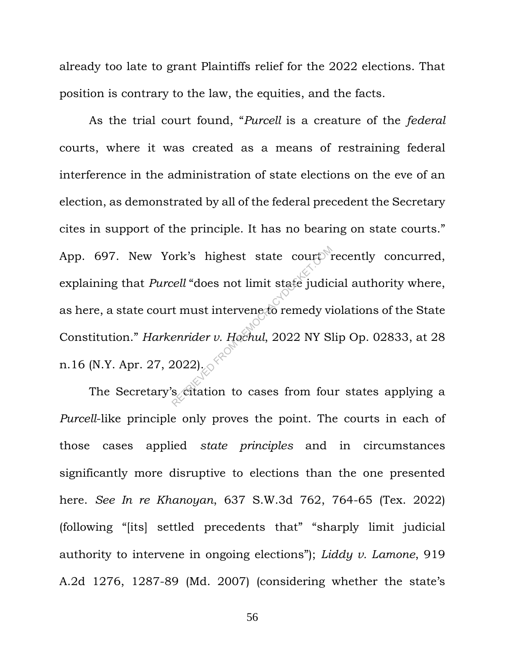already too late to grant Plaintiffs relief for the 2022 elections. That position is contrary to the law, the equities, and the facts.

As the trial court found, "*Purcell* is a creature of the *federal*  courts, where it was created as a means of restraining federal interference in the administration of state elections on the eve of an election, as demonstrated by all of the federal precedent the Secretary cites in support of the principle. It has no bearing on state courts." App. 697. New York's highest state court recently concurred, explaining that *Purcell* "does not limit state judicial authority where, as here, a state court must intervene to remedy violations of the State Constitution." *Harkenrider v. Hochul*, 2022 NY Slip Op. 02833, at 28 n.16 (N.Y. Apr. 27, 2022). brk's highest state court<sup>8</sup><br>
rell "does not limit state judic<br>
t must intervene to remedy vi<br>
enrider v. Hochul, 2022 NY S.<br>
2022).

The Secretary's citation to cases from four states applying a *Purcell*-like principle only proves the point. The courts in each of those cases applied *state principles* and in circumstances significantly more disruptive to elections than the one presented here. *See In re Khanoyan*, 637 S.W.3d 762, 764-65 (Tex. 2022) (following "[its] settled precedents that" "sharply limit judicial authority to intervene in ongoing elections"); *Liddy v. Lamone*, 919 A.2d 1276, 1287-89 (Md. 2007) (considering whether the state's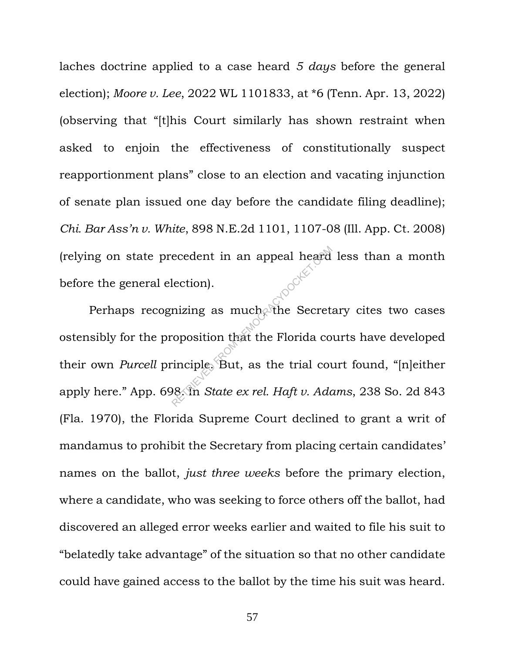laches doctrine applied to a case heard *5 days* before the general election); *Moore v. Lee*, 2022 WL 1101833, at \*6 (Tenn. Apr. 13, 2022) (observing that "[t]his Court similarly has shown restraint when asked to enjoin the effectiveness of constitutionally suspect reapportionment plans" close to an election and vacating injunction of senate plan issued one day before the candidate filing deadline); *Chi. Bar Ass'n v. White*, 898 N.E.2d 1101, 1107-08 (Ill. App. Ct. 2008) (relying on state precedent in an appeal heard less than a month<br>before the general election). before the general election).

Perhaps recognizing as much, the Secretary cites two cases ostensibly for the proposition that the Florida courts have developed their own *Purcell* principle. But, as the trial court found, "[n]either apply here." App. 698. In *State ex rel. Haft v. Adams*, 238 So. 2d 843 (Fla. 1970), the Florida Supreme Court declined to grant a writ of mandamus to prohibit the Secretary from placing certain candidates' names on the ballot, *just three weeks* before the primary election, where a candidate, who was seeking to force others off the ballot, had discovered an alleged error weeks earlier and waited to file his suit to "belatedly take advantage" of the situation so that no other candidate could have gained access to the ballot by the time his suit was heard. ecedent in an appeal heard<br>lection).<br>mizing as much the Secret.<br>condition that the Florida composition that the Florida composition.<br>Results as the trial composition State ex rel. Haft v. Add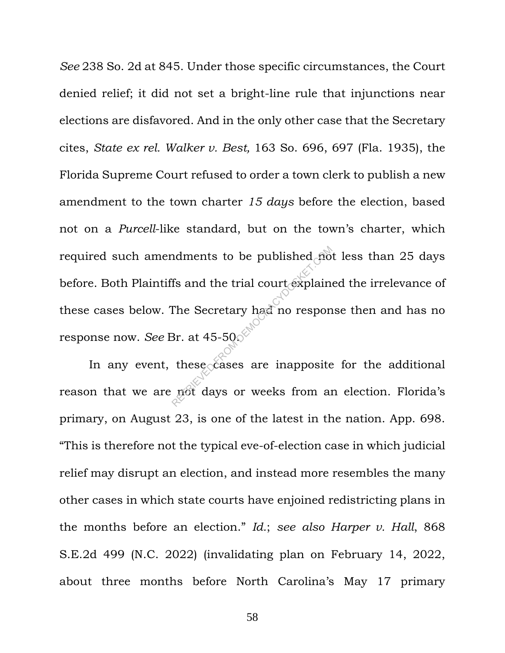*See* 238 So. 2d at 845. Under those specific circumstances, the Court denied relief; it did not set a bright-line rule that injunctions near elections are disfavored. And in the only other case that the Secretary cites, *State ex rel. Walker v. Best,* 163 So. 696, 697 (Fla. 1935), the Florida Supreme Court refused to order a town clerk to publish a new amendment to the town charter *15 days* before the election, based not on a *Purcell*-like standard, but on the town's charter, which required such amendments to be published not less than 25 days before. Both Plaintiffs and the trial court explained the irrelevance of these cases below. The Secretary had no response then and has no response now. *See* Br. at 45-50. ndments to be published no<br>
fs and the trial court explain<br>
The Secretary had no respon<br>
Br. at 45-50.<br>
these cases are inapposite<br>
mot days or weeks from an

In any event, these cases are inapposite for the additional reason that we are not days or weeks from an election. Florida's primary, on August 23, is one of the latest in the nation. App. 698. "This is therefore not the typical eve-of-election case in which judicial relief may disrupt an election, and instead more resembles the many other cases in which state courts have enjoined redistricting plans in the months before an election." *Id.*; *see also Harper v. Hall*, 868 S.E.2d 499 (N.C. 2022) (invalidating plan on February 14, 2022, about three months before North Carolina's May 17 primary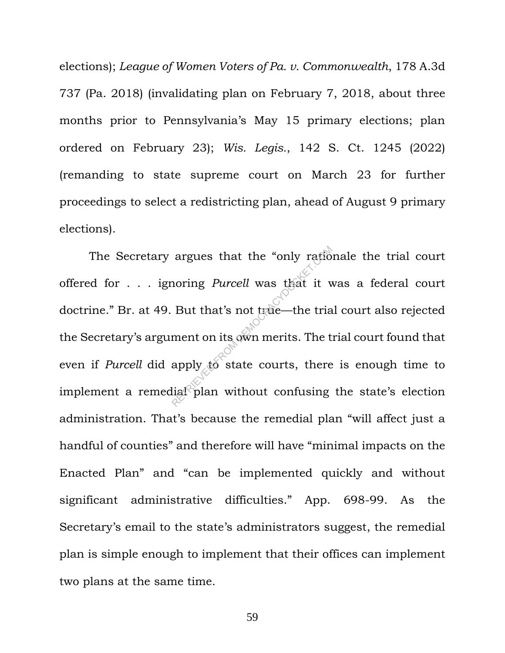elections); *League of Women Voters of Pa. v. Commonwealth*, 178 A.3d 737 (Pa. 2018) (invalidating plan on February 7, 2018, about three months prior to Pennsylvania's May 15 primary elections; plan ordered on February 23); *Wis. Legis.*, 142 S. Ct. 1245 (2022) (remanding to state supreme court on March 23 for further proceedings to select a redistricting plan, ahead of August 9 primary elections).

The Secretary argues that the "only rationale the trial court offered for . . . ignoring *Purcell* was that it was a federal court doctrine." Br. at 49. But that's not true—the trial court also rejected the Secretary's argument on its own merits. The trial court found that even if *Purcell* did apply to state courts, there is enough time to implement a remedial plan without confusing the state's election administration. That's because the remedial plan "will affect just a handful of counties" and therefore will have "minimal impacts on the Enacted Plan" and "can be implemented quickly and without significant administrative difficulties." App. 698-99. As the Secretary's email to the state's administrators suggest, the remedial plan is simple enough to implement that their offices can implement two plans at the same time. argues that the "only ration"<br>
noring *Purcell* was that it v<br>
But that's not true—the tria<br>
ment on its own merits. The t<br>
apply to state courts, there<br>
lial<sup>2</sup>plan without confusing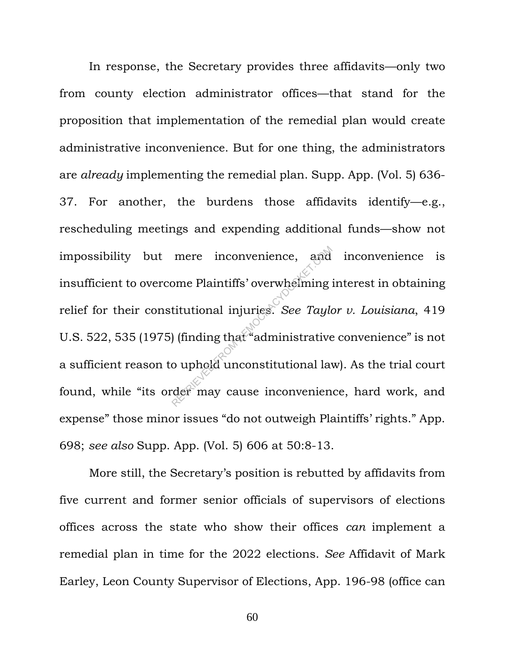In response, the Secretary provides three affidavits—only two from county election administrator offices—that stand for the proposition that implementation of the remedial plan would create administrative inconvenience. But for one thing, the administrators are *already* implementing the remedial plan. Supp. App. (Vol. 5) 636- 37. For another, the burdens those affidavits identify—e.g., rescheduling meetings and expending additional funds—show not impossibility but mere inconvenience, and inconvenience is insufficient to overcome Plaintiffs' overwhelming interest in obtaining relief for their constitutional injuries. *See Taylor v. Louisiana*, 419 U.S. 522, 535 (1975) (finding that "administrative convenience" is not a sufficient reason to uphold unconstitutional law). As the trial court found, while "its order may cause inconvenience, hard work, and expense" those minor issues "do not outweigh Plaintiffs' rights." App. 698; *see also* Supp. App. (Vol. 5) 606 at 50:8-13. mere inconvenience, and<br>
ome Plaintiffs' overwhelming<br>
titutional injuries. See Tayle<br>
(finding that "administrative")<br>
o uphold unconstitutional lavel of may cause inconvenien

More still, the Secretary's position is rebutted by affidavits from five current and former senior officials of supervisors of elections offices across the state who show their offices *can* implement a remedial plan in time for the 2022 elections. *See* Affidavit of Mark Earley, Leon County Supervisor of Elections, App. 196-98 (office can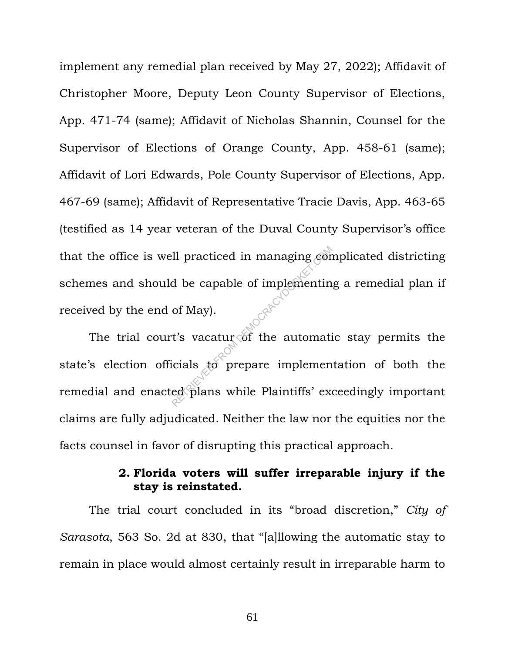implement any remedial plan received by May 27, 2022); Affidavit of Christopher Moore, Deputy Leon County Supervisor of Elections, App. 471-74 (same); Affidavit of Nicholas Shannin, Counsel for the Supervisor of Elections of Orange County, App. 458-61 (same); Affidavit of Lori Edwards, Pole County Supervisor of Elections, App. 467-69 (same); Affidavit of Representative Tracie Davis, App. 463-65 (testified as 14 year veteran of the Duval County Supervisor's office that the office is well practiced in managing complicated districting schemes and should be capable of implementing a remedial plan if received by the end of May).

The trial court's vacatur of the automatic stay permits the state's election officials to prepare implementation of both the remedial and enacted plans while Plaintiffs' exceedingly important claims are fully adjudicated. Neither the law nor the equities nor the facts counsel in favor of disrupting this practical approach. A be capable of implementin<br>of May).<br>The matrice of May and May and May and the automaticials to prepare implemented plans while Plaintiffs' exercise

### **2. Florida voters will suffer irreparable injury if the stay is reinstated.**

The trial court concluded in its "broad discretion," *City of Sarasota*, 563 So. 2d at 830, that "[a]llowing the automatic stay to remain in place would almost certainly result in irreparable harm to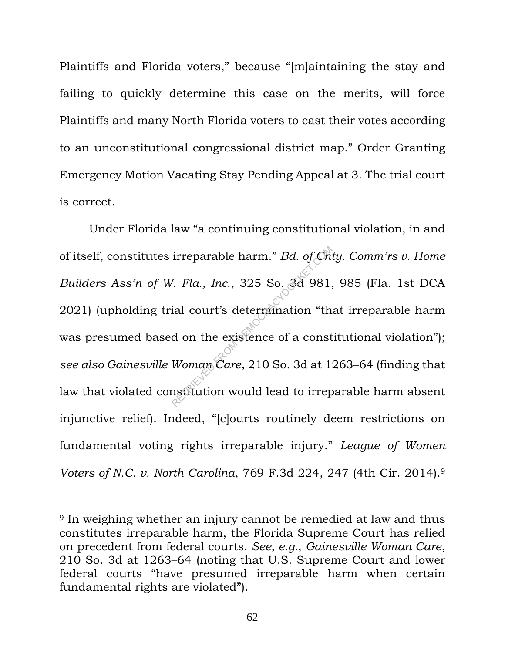Plaintiffs and Florida voters," because "[m]aintaining the stay and failing to quickly determine this case on the merits, will force Plaintiffs and many North Florida voters to cast their votes according to an unconstitutional congressional district map." Order Granting Emergency Motion Vacating Stay Pending Appeal at 3. The trial court is correct.

Under Florida law "a continuing constitutional violation, in and of itself, constitutes irreparable harm." *Bd. of Cnty. Comm'rs v. Home Builders Ass'n of W. Fla., Inc.*, 325 So. 3d 981, 985 (Fla. 1st DCA 2021) (upholding trial court's determination "that irreparable harm was presumed based on the existence of a constitutional violation"); *see also Gainesville Woman Care*, 210 So. 3d at 1263–64 (finding that law that violated constitution would lead to irreparable harm absent injunctive relief). Indeed, "[c]ourts routinely deem restrictions on fundamental voting rights irreparable injury." *League of Women Voters of N.C. v. North Carolina*, 769 F.3d 224, 247 (4th Cir. 2014). 9 irreparable harm." *Bd. of Cn.*<br>7. *Fla., Inc.*, 325 So. 3d 981,<br>ial court's determination "th<br>d on the existence of a const<br>Woman Care, 210 So. 3d at 1.<br>nstitution would lead to irrep

<sup>9</sup> In weighing whether an injury cannot be remedied at law and thus constitutes irreparable harm, the Florida Supreme Court has relied on precedent from federal courts. *See, e.g.*, *Gainesville Woman Care*, 210 So. 3d at 1263–64 (noting that U.S. Supreme Court and lower federal courts "have presumed irreparable harm when certain fundamental rights are violated").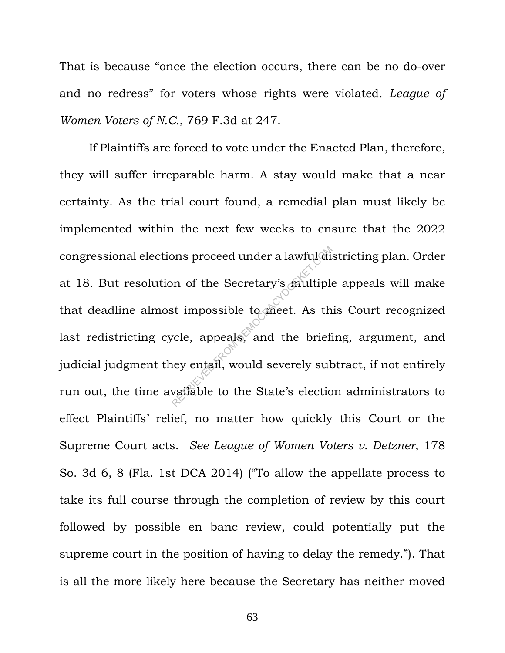That is because "once the election occurs, there can be no do-over and no redress" for voters whose rights were violated. *League of Women Voters of N.C.*, 769 F.3d at 247.

If Plaintiffs are forced to vote under the Enacted Plan, therefore, they will suffer irreparable harm. A stay would make that a near certainty. As the trial court found, a remedial plan must likely be implemented within the next few weeks to ensure that the 2022 congressional elections proceed under a lawful districting plan. Order at 18. But resolution of the Secretary's multiple appeals will make that deadline almost impossible to meet. As this Court recognized last redistricting cycle, appeals, and the briefing, argument, and judicial judgment they entail, would severely subtract, if not entirely run out, the time available to the State's election administrators to effect Plaintiffs' relief, no matter how quickly this Court or the Supreme Court acts. *See League of Women Voters v. Detzner*, 178 So. 3d 6, 8 (Fla. 1st DCA 2014) ("To allow the appellate process to take its full course through the completion of review by this court followed by possible en banc review, could potentially put the supreme court in the position of having to delay the remedy."). That is all the more likely here because the Secretary has neither moved on of the Secretary's multiple<br>st impossible to meet. As the<br>vele, appeals, and the brief<br>ney entail, would severely sub<br>vailable to the State's election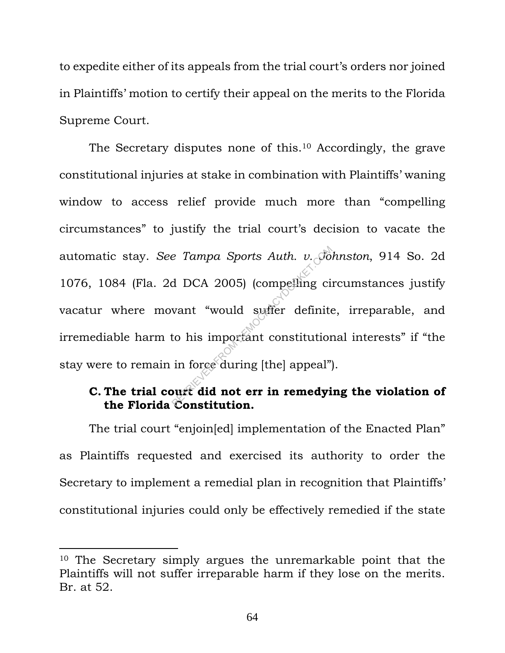to expedite either of its appeals from the trial court's orders nor joined in Plaintiffs' motion to certify their appeal on the merits to the Florida Supreme Court.

The Secretary disputes none of this.<sup>10</sup> Accordingly, the grave constitutional injuries at stake in combination with Plaintiffs' waning window to access relief provide much more than "compelling circumstances" to justify the trial court's decision to vacate the automatic stay. *See Tampa Sports Auth. v. Johnston*, 914 So. 2d 1076, 1084 (Fla. 2d DCA 2005) (compelling circumstances justify vacatur where movant "would suffer definite, irreparable, and irremediable harm to his important constitutional interests" if "the stay were to remain in force during [the] appeal"). e Tampa Sports Auth. v. Jo.<br>d DCA 2005) (compelling circuit would suffer definite<br>to his important constitution<br>in force during [the] appeal")

### **C. The trial court did not err in remedying the violation of the Florida Constitution.**

The trial court "enjoin[ed] implementation of the Enacted Plan" as Plaintiffs requested and exercised its authority to order the Secretary to implement a remedial plan in recognition that Plaintiffs' constitutional injuries could only be effectively remedied if the state

<sup>10</sup> The Secretary simply argues the unremarkable point that the Plaintiffs will not suffer irreparable harm if they lose on the merits. Br. at 52.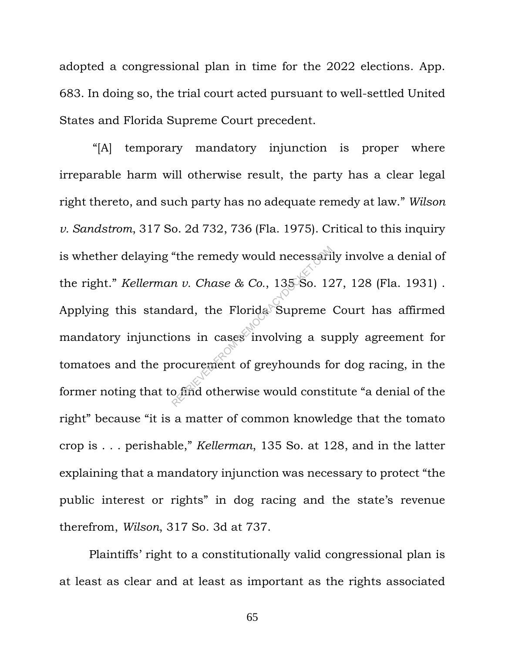adopted a congressional plan in time for the 2022 elections. App. 683. In doing so, the trial court acted pursuant to well-settled United States and Florida Supreme Court precedent.

"[A] temporary mandatory injunction is proper where irreparable harm will otherwise result, the party has a clear legal right thereto, and such party has no adequate remedy at law." *Wilson v. Sandstrom*, 317 So. 2d 732, 736 (Fla. 1975). Critical to this inquiry is whether delaying "the remedy would necessarily involve a denial of the right." *Kellerman v. Chase & Co.*, 135 So. 127, 128 (Fla. 1931) . Applying this standard, the Florida Supreme Court has affirmed mandatory injunctions in cases involving a supply agreement for tomatoes and the procurement of greyhounds for dog racing, in the former noting that to find otherwise would constitute "a denial of the right" because "it is a matter of common knowledge that the tomato crop is . . . perishable," *Kellerman*, 135 So. at 128, and in the latter explaining that a mandatory injunction was necessary to protect "the public interest or rights" in dog racing and the state's revenue therefrom, *Wilson*, 317 So. 3d at 737. "the remedy would necessari"<br>
n v. Chase & Co., 135-So. 12<br>
dard, the Florida Supreme<br>
ons in cases involving a su<br>
rocurement of greyhounds for<br>
o find otherwise would consti

Plaintiffs' right to a constitutionally valid congressional plan is at least as clear and at least as important as the rights associated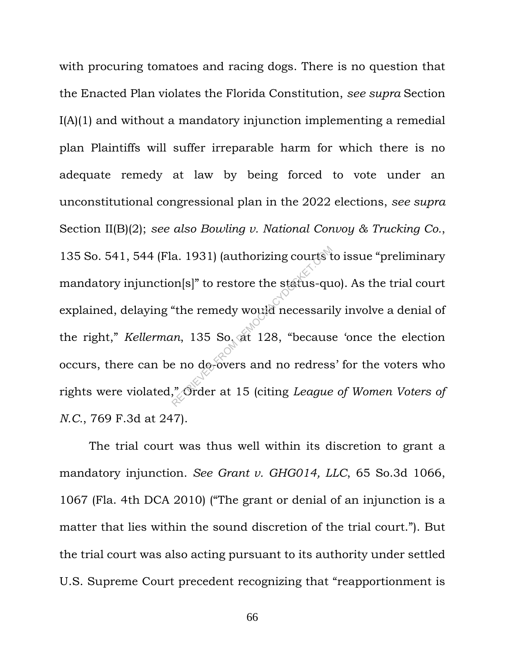with procuring tomatoes and racing dogs. There is no question that the Enacted Plan violates the Florida Constitution, *see supra* Section I(A)(1) and without a mandatory injunction implementing a remedial plan Plaintiffs will suffer irreparable harm for which there is no adequate remedy at law by being forced to vote under an unconstitutional congressional plan in the 2022 elections, *see supra* Section II(B)(2); *see also Bowling v. National Convoy & Trucking Co.*, 135 So. 541, 544 (Fla. 1931) (authorizing courts to issue "preliminary mandatory injunction[s]" to restore the status-quo). As the trial court explained, delaying "the remedy would necessarily involve a denial of the right," *Kellerman*, 135 So. at 128, "because 'once the election occurs, there can be no do-overs and no redress' for the voters who rights were violated," Order at 15 (citing *League of Women Voters of N.C.*, 769 F.3d at 247). a. 1931) (authorizing courts to<br>
principle of the status-query<br>
"the remedy would necessari:<br>
e no do overs and no redress<br>
and no redress<br>
"Order at 15 (citing *League* 

The trial court was thus well within its discretion to grant a mandatory injunction. *See Grant v. GHG014, LLC*, 65 So.3d 1066, 1067 (Fla. 4th DCA 2010) ("The grant or denial of an injunction is a matter that lies within the sound discretion of the trial court."). But the trial court was also acting pursuant to its authority under settled U.S. Supreme Court precedent recognizing that "reapportionment is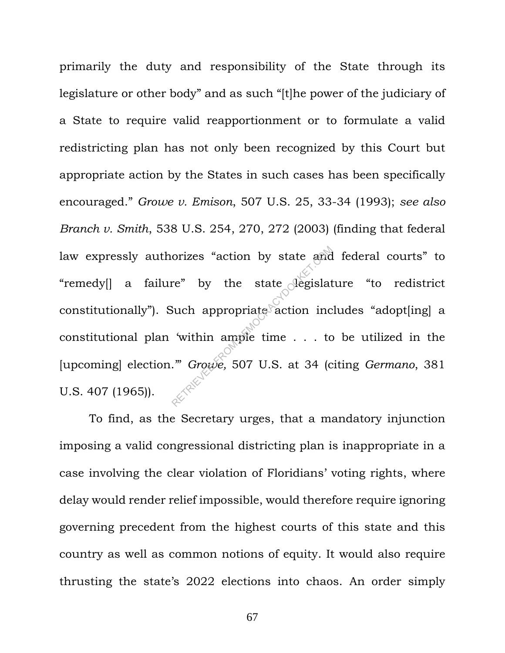primarily the duty and responsibility of the State through its legislature or other body" and as such "[t]he power of the judiciary of a State to require valid reapportionment or to formulate a valid redistricting plan has not only been recognized by this Court but appropriate action by the States in such cases has been specifically encouraged." *Growe v. Emison*, 507 U.S. 25, 33-34 (1993); *see also Branch v. Smith*, 538 U.S. 254, 270, 272 (2003) (finding that federal law expressly authorizes "action by state and federal courts" to "remedy[] a failure" by the state legislature "to redistrict constitutionally"). Such appropriate action includes "adopt[ing] a constitutional plan 'within ample time . . . to be utilized in the [upcoming] election.'" *Growe,* 507 U.S. at 34 (citing *Germano*, 381 U.S. 407 (1965)). orizes "action by state and<br>re" by the state degislat<br>Such appropriate action inc<br>within ample time . . . to<br>"Growe, 507 U.S. at 34 (c

To find, as the Secretary urges, that a mandatory injunction imposing a valid congressional districting plan is inappropriate in a case involving the clear violation of Floridians' voting rights, where delay would render relief impossible, would therefore require ignoring governing precedent from the highest courts of this state and this country as well as common notions of equity. It would also require thrusting the state's 2022 elections into chaos. An order simply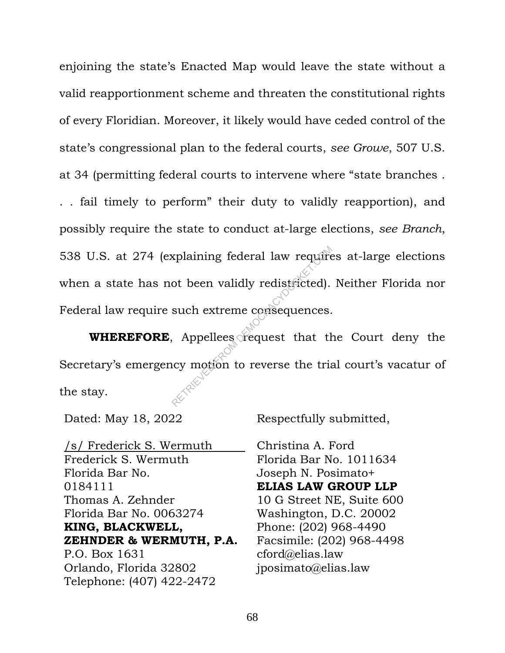enjoining the state's Enacted Map would leave the state without a valid reapportionment scheme and threaten the constitutional rights of every Floridian. Moreover, it likely would have ceded control of the state's congressional plan to the federal courts, *see Growe*, 507 U.S. at 34 (permitting federal courts to intervene where "state branches .

. . fail timely to perform" their duty to validly reapportion), and possibly require the state to conduct at-large elections, *see Branch*, 538 U.S. at 274 (explaining federal law requires at-large elections when a state has not been validly redistricted). Neither Florida nor Federal law require such extreme consequences. Explaining federal law require<br>ot been validly redistricted).<br>such extreme consequences.<br>Appellees request that the<br>compution to reverse the tria

**WHEREFORE**, Appellees request that the Court deny the Secretary's emergency motion to reverse the trial court's vacatur of the stay.

Dated: May 18, 2022 Respectfully submitted,

/s/ Frederick S. Wermuth Frederick S. Wermuth Florida Bar No. 0184111 Thomas A. Zehnder Florida Bar No. 0063274 **KING, BLACKWELL, ZEHNDER & WERMUTH, P.A.** P.O. Box 1631 Orlando, Florida 32802 Telephone: (407) 422-2472

Christina A. Ford Florida Bar No. 1011634 Joseph N. Posimato+ **ELIAS LAW GROUP LLP** 10 G Street NE, Suite 600 Washington, D.C. 20002 Phone: (202) 968-4490 Facsimile: (202) 968-4498 cford@elias.law jposimato@elias.law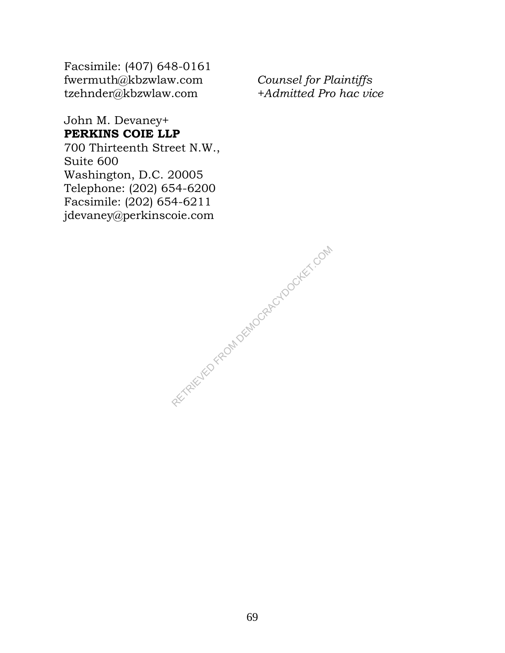Facsimile: (407) 648-0161 fwermuth@kbzwlaw.com tzehnder@kbzwlaw.com

*Counsel for Plaintiffs +Admitted Pro hac vice*

John M. Devaney+ **PERKINS COIE LLP** 700 Thirteenth Street N.W.,

Suite 600 Washington, D.C. 20005 Telephone: (202) 654-6200 Facsimile: (202) 654-6211 jdevaney@perkinscoie.com

RECTAIRD FROM DEMOCRACYDOCKET.COM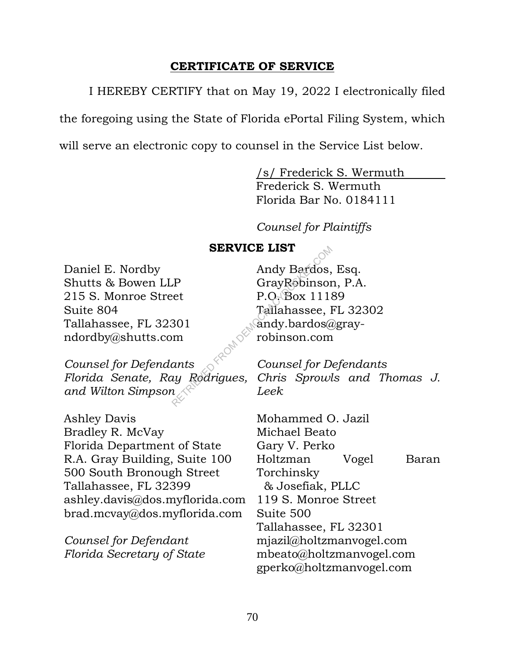## **CERTIFICATE OF SERVICE**

I HEREBY CERTIFY that on May 19, 2022 I electronically filed

the foregoing using the State of Florida ePortal Filing System, which

will serve an electronic copy to counsel in the Service List below.

/s/ Frederick S. Wermuth

Frederick S. Wermuth Florida Bar No. 0184111

*Counsel for Plaintiffs*

## **SERVICE LIST**

Daniel E. Nordby Shutts & Bowen LLP 215 S. Monroe Street Suite 804 Tallahassee, FL 32301 ndordby@shutts.com

*Counsel for Defendants Florida Senate, Ray Rodrigues, and Wilton Simpson*

Ashley Davis Bradley R. McVay Florida Department of State R.A. Gray Building, Suite 100 500 South Bronough Street Tallahassee, FL 32399 ashley.davis@dos.myflorida.com brad.mcvay@dos.myflorida.com

*Counsel for Defendant Florida Secretary of State*

Andy Bardos, Esq. GrayRobinson, P.A. P.O. Box 11189 Tallahassee, FL 32302 andy.bardos@grayrobinson.com SERVICE LIST<br>
Andy Bardos,<br>
Conserved Bardos,<br>
Counsel Sox 1118<br>
Tallahassee, I<br>
301<br>
m robinson.com<br>
ants Counsel for D.<br>
uy Rodrigues, Chris Sprowl<br>
leek

*Counsel for Defendants Chris Sprowls and Thomas J. Leek*

Mohammed O. Jazil Michael Beato Gary V. Perko Holtzman Vogel Baran Torchinsky & Josefiak, PLLC 119 S. Monroe Street Suite 500 Tallahassee, FL 32301 mjazil@holtzmanvogel.com mbeato@holtzmanvogel.com gperko@holtzmanvogel.com